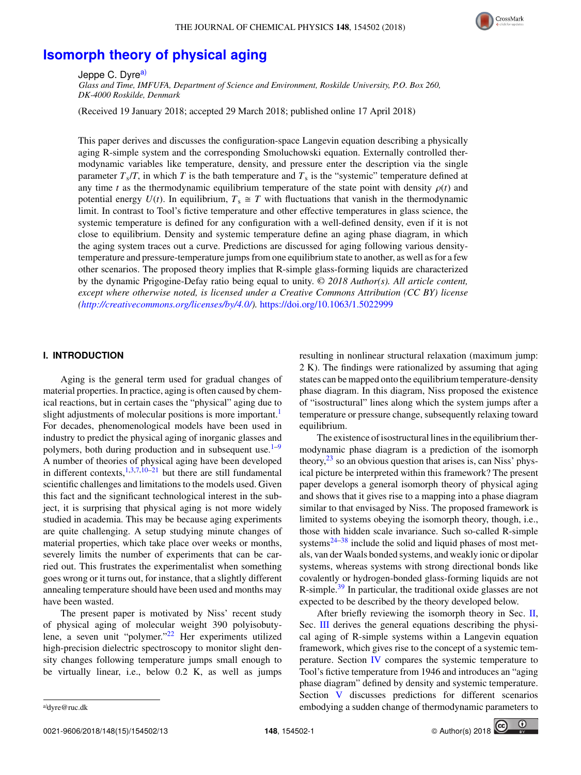

# **[Isomorph theory of physical aging](https://doi.org/10.1063/1.5022999)**

Jeppe C. Dyre<sup>[a\)](#page-0-0)</sup>

*Glass and Time, IMFUFA, Department of Science and Environment, Roskilde University, P.O. Box 260, DK-4000 Roskilde, Denmark*

(Received 19 January 2018; accepted 29 March 2018; published online 17 April 2018)

This paper derives and discusses the configuration-space Langevin equation describing a physically aging R-simple system and the corresponding Smoluchowski equation. Externally controlled thermodynamic variables like temperature, density, and pressure enter the description via the single parameter  $T_s/T$ , in which  $T$  is the bath temperature and  $T_s$  is the "systemic" temperature defined at any time *t* as the thermodynamic equilibrium temperature of the state point with density  $\rho(t)$  and potential energy  $U(t)$ . In equilibrium,  $T_s \cong T$  with fluctuations that vanish in the thermodynamic limit. In contrast to Tool's fictive temperature and other effective temperatures in glass science, the systemic temperature is defined for any configuration with a well-defined density, even if it is not close to equilibrium. Density and systemic temperature define an aging phase diagram, in which the aging system traces out a curve. Predictions are discussed for aging following various densitytemperature and pressure-temperature jumps from one equilibrium state to another, as well as for a few other scenarios. The proposed theory implies that R-simple glass-forming liquids are characterized by the dynamic Prigogine-Defay ratio being equal to unity. © *2018 Author(s). All article content, except where otherwise noted, is licensed under a Creative Commons Attribution (CC BY) license [\(http://creativecommons.org/licenses/by/4.0/\)](http://creativecommons.org/licenses/by/4.0/).* <https://doi.org/10.1063/1.5022999>

## **I. INTRODUCTION**

Aging is the general term used for gradual changes of material properties. In practice, aging is often caused by chemical reactions, but in certain cases the "physical" aging due to slight adjustments of molecular positions is more important.<sup>[1](#page-10-0)</sup> For decades, phenomenological models have been used in industry to predict the physical aging of inorganic glasses and polymers, both during production and in subsequent use. $1-9$  $1-9$ A number of theories of physical aging have been developed in different contexts, $1,3,7,10-21$  $1,3,7,10-21$  $1,3,7,10-21$  $1,3,7,10-21$  $1,3,7,10-21$  but there are still fundamental scientific challenges and limitations to the models used. Given this fact and the significant technological interest in the subject, it is surprising that physical aging is not more widely studied in academia. This may be because aging experiments are quite challenging. A setup studying minute changes of material properties, which take place over weeks or months, severely limits the number of experiments that can be carried out. This frustrates the experimentalist when something goes wrong or it turns out, for instance, that a slightly different annealing temperature should have been used and months may have been wasted.

The present paper is motivated by Niss' recent study of physical aging of molecular weight 390 polyisobutylene, a seven unit "polymer."[22](#page-10-6) Her experiments utilized high-precision dielectric spectroscopy to monitor slight density changes following temperature jumps small enough to be virtually linear, i.e., below 0.2 K, as well as jumps resulting in nonlinear structural relaxation (maximum jump: 2 K). The findings were rationalized by assuming that aging states can be mapped onto the equilibrium temperature-density phase diagram. In this diagram, Niss proposed the existence of "isostructural" lines along which the system jumps after a temperature or pressure change, subsequently relaxing toward equilibrium.

The existence of isostructural lines in the equilibrium thermodynamic phase diagram is a prediction of the isomorph theory, $23$  so an obvious question that arises is, can Niss' physical picture be interpreted within this framework? The present paper develops a general isomorph theory of physical aging and shows that it gives rise to a mapping into a phase diagram similar to that envisaged by Niss. The proposed framework is limited to systems obeying the isomorph theory, though, i.e., those with hidden scale invariance. Such so-called R-simple systems $24-38$  $24-38$  include the solid and liquid phases of most metals, van der Waals bonded systems, and weakly ionic or dipolar systems, whereas systems with strong directional bonds like covalently or hydrogen-bonded glass-forming liquids are not R-simple.<sup>[39](#page-10-10)</sup> In particular, the traditional oxide glasses are not expected to be described by the theory developed below.

After briefly reviewing the isomorph theory in Sec.  $II$ , Sec. [III](#page-2-0) derives the general equations describing the physical aging of R-simple systems within a Langevin equation framework, which gives rise to the concept of a systemic temperature. Section [IV](#page-3-0) compares the systemic temperature to Tool's fictive temperature from 1946 and introduces an "aging phase diagram" defined by density and systemic temperature. Section [V](#page-4-0) discusses predictions for different scenarios embodying a sudden change of thermodynamic parameters to



<span id="page-0-0"></span>a)[dyre@ruc.dk](mailto:dyre@ruc.dk)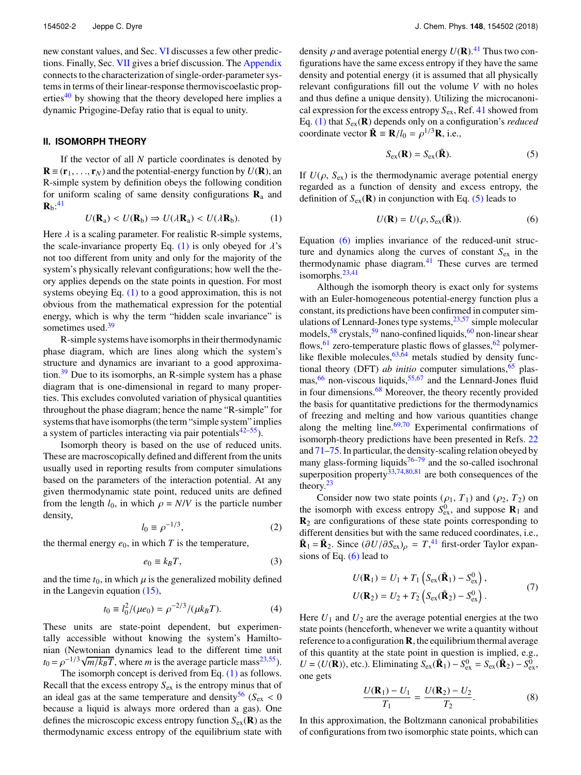new constant values, and Sec. [VI](#page-8-0) discusses a few other predictions. Finally, Sec. [VII](#page-8-1) gives a brief discussion. The [Appendix](#page-9-0) connects to the characterization of single-order-parameter systems in terms of their linear-response thermoviscoelastic prop-erties<sup>[40](#page-10-11)</sup> by showing that the theory developed here implies a dynamic Prigogine-Defay ratio that is equal to unity.

#### <span id="page-1-0"></span>**II. ISOMORPH THEORY**

If the vector of all *N* particle coordinates is denoted by  $\mathbf{R} \equiv (\mathbf{r}_1, \dots, \mathbf{r}_N)$  and the potential-energy function by  $U(\mathbf{R})$ , an R-simple system by definition obeys the following condition for uniform scaling of same density configurations  $\mathbf{R}_a$  and **:<sup>[41](#page-10-12)</sup>** 

<span id="page-1-1"></span>
$$
U(\mathbf{R}_{\mathrm{a}}) < U(\mathbf{R}_{\mathrm{b}}) \Rightarrow U(\lambda \mathbf{R}_{\mathrm{a}}) < U(\lambda \mathbf{R}_{\mathrm{b}}). \tag{1}
$$

Here  $\lambda$  is a scaling parameter. For realistic R-simple systems, the scale-invariance property Eq. [\(1\)](#page-1-1) is only obeyed for  $\lambda$ 's not too different from unity and only for the majority of the system's physically relevant configurations; how well the theory applies depends on the state points in question. For most systems obeying Eq. [\(1\)](#page-1-1) to a good approximation, this is not obvious from the mathematical expression for the potential energy, which is why the term "hidden scale invariance" is sometimes used.<sup>[39](#page-10-10)</sup>

R-simple systems have isomorphs in their thermodynamic phase diagram, which are lines along which the system's structure and dynamics are invariant to a good approximation. $39$  Due to its isomorphs, an R-simple system has a phase diagram that is one-dimensional in regard to many properties. This excludes convoluted variation of physical quantities throughout the phase diagram; hence the name "R-simple" for systems that have isomorphs (the term "simple system" implies a system of particles interacting via pair potentials $42-55$  $42-55$ ).

Isomorph theory is based on the use of reduced units. These are macroscopically defined and different from the units usually used in reporting results from computer simulations based on the parameters of the interaction potential. At any given thermodynamic state point, reduced units are defined from the length  $l_0$ , in which  $\rho = N/V$  is the particle number density,

<span id="page-1-5"></span>
$$
l_0 \equiv \rho^{-1/3},\tag{2}
$$

the thermal energy  $e_0$ , in which  $T$  is the temperature,

$$
e_0 \equiv k_B T,\tag{3}
$$

and the time  $t_0$ , in which  $\mu$  is the generalized mobility defined in the Langevin equation [\(15\),](#page-2-1)

<span id="page-1-6"></span>
$$
t_0 \equiv l_0^2 / (\mu e_0) = \rho^{-2/3} / (\mu k_B T). \tag{4}
$$

These units are state-point dependent, but experimentally accessible without knowing the system's Hamiltonian (Newtonian dynamics lead to the different time unit  $t_0 = \rho^{-1/3} \sqrt{m/k_B T}$ , where *m* is the average particle mass<sup>[23,](#page-10-7)[55](#page-11-0)</sup>).<br>The isomorph concept is derived from Eq. (1) as follows The isomorph concept is derived from Eq. [\(1\)](#page-1-1) as follows.

Recall that the excess entropy  $S_{ex}$  is the entropy minus that of an ideal gas at the same temperature and density<sup>[56](#page-11-1)</sup> ( $S_{\rm ex}$  < 0 because a liquid is always more ordered than a gas). One defines the microscopic excess entropy function  $S_{ex}(\mathbf{R})$  as the thermodynamic excess entropy of the equilibrium state with

density  $\rho$  and average potential energy  $U(\mathbf{R})$ .<sup>[41](#page-10-12)</sup> Thus two configurations have the same excess entropy if they have the same density and potential energy (it is assumed that all physically relevant configurations fill out the volume *V* with no holes and thus define a unique density). Utilizing the microcanonical expression for the excess entropy  $S_{ex}$ , Ref. [41](#page-10-12) showed from Eq. [\(1\)](#page-1-1) that *S*ex(**R**) depends only on a configuration's *reduced* coordinate vector  $\tilde{\mathbf{R}} \equiv \mathbf{R}/l_0 = \rho^{1/3}\mathbf{R}$ , i.e.,

<span id="page-1-2"></span>
$$
S_{\text{ex}}(\mathbf{R}) = S_{\text{ex}}(\tilde{\mathbf{R}}).
$$
 (5)

If  $U(\rho, S_{\text{ex}})$  is the thermodynamic average potential energy regarded as a function of density and excess entropy, the definition of  $S_{\text{ex}}(\mathbf{R})$  in conjunction with Eq. [\(5\)](#page-1-2) leads to

<span id="page-1-3"></span>
$$
U(\mathbf{R}) = U(\rho, S_{\text{ex}}(\tilde{\mathbf{R}})).
$$
 (6)

Equation [\(6\)](#page-1-3) implies invariance of the reduced-unit structure and dynamics along the curves of constant *S*ex in the thermodynamic phase diagram.<sup>[41](#page-10-12)</sup> These curves are termed isomorphs. $23,41$  $23,41$ 

Although the isomorph theory is exact only for systems with an Euler-homogeneous potential-energy function plus a constant, its predictions have been confirmed in computer simulations of Lennard-Jones type systems,  $23,57$  $23,57$  simple molecular models,  $58$  crystals,  $59$  nano-confined liquids,  $60$  non-linear shear flows,  $61$  zero-temperature plastic flows of glasses,  $62$  polymerlike flexible molecules,  $63,64$  $63,64$  metals studied by density functional theory (DFT) *ab initio* computer simulations,<sup>[65](#page-11-10)</sup> plas- $\text{mas},^{66}$  $\text{mas},^{66}$  $\text{mas},^{66}$  non-viscous liquids,  $^{55,67}$  $^{55,67}$  $^{55,67}$  $^{55,67}$  and the Lennard-Jones fluid in four dimensions.<sup>[68](#page-11-13)</sup> Moreover, the theory recently provided the basis for quantitative predictions for the thermodynamics of freezing and melting and how various quantities change along the melting line. $69,70$  $69,70$  Experimental confirmations of isomorph-theory predictions have been presented in Refs. [22](#page-10-6) and [71–](#page-11-16)[75.](#page-11-17) In particular, the density-scaling relation obeyed by many glass-forming liquids<sup>[76](#page-11-18)[–79](#page-11-19)</sup> and the so-called isochronal superposition property $33,74,80,81$  $33,74,80,81$  $33,74,80,81$  $33,74,80,81$  are both consequences of the theory. $23$ 

Consider now two state points  $(\rho_1, T_1)$  and  $(\rho_2, T_2)$  on the isomorph with excess entropy  $S_{\text{ex}}^0$ , and suppose **R**<sub>1</sub> and **R**<sub>2</sub> are configurations of these state points corresponding to different densities but with the same reduced coordinates, i.e.,  $\tilde{\mathbf{R}}_1 = \tilde{\mathbf{R}}_2$ . Since  $(\partial U/\partial S_{\text{ex}})_\rho = T_1^{41}$  $(\partial U/\partial S_{\text{ex}})_\rho = T_1^{41}$  $(\partial U/\partial S_{\text{ex}})_\rho = T_1^{41}$  first-order Taylor expansions of Eq. (6) lead to sions of Eq.  $(6)$  lead to

<span id="page-1-4"></span>
$$
U(\mathbf{R}_1) = U_1 + T_1 \left( S_{\text{ex}}(\tilde{\mathbf{R}}_1) - S_{\text{ex}}^0 \right),
$$
  
\n
$$
U(\mathbf{R}_2) = U_2 + T_2 \left( S_{\text{ex}}(\tilde{\mathbf{R}}_2) - S_{\text{ex}}^0 \right).
$$
\n(7)

Here  $U_1$  and  $U_2$  are the average potential energies at the two state points (henceforth, whenever we write a quantity without reference to a configuration **R**, the equilibrium thermal average of this quantity at the state point in question is implied, e.g.,  $U = \langle U(\mathbf{R}) \rangle$ , etc.). Eliminating  $S_{\text{ex}}(\tilde{\mathbf{R}}_1) - S_{\text{ex}}^0 = S_{\text{ex}}(\tilde{\mathbf{R}}_2) - S_{\text{ex}}^0$ one gets

<span id="page-1-7"></span>
$$
\frac{U(\mathbf{R}_1) - U_1}{T_1} = \frac{U(\mathbf{R}_2) - U_2}{T_2}.
$$
 (8)

In this approximation, the Boltzmann canonical probabilities of configurations from two isomorphic state points, which can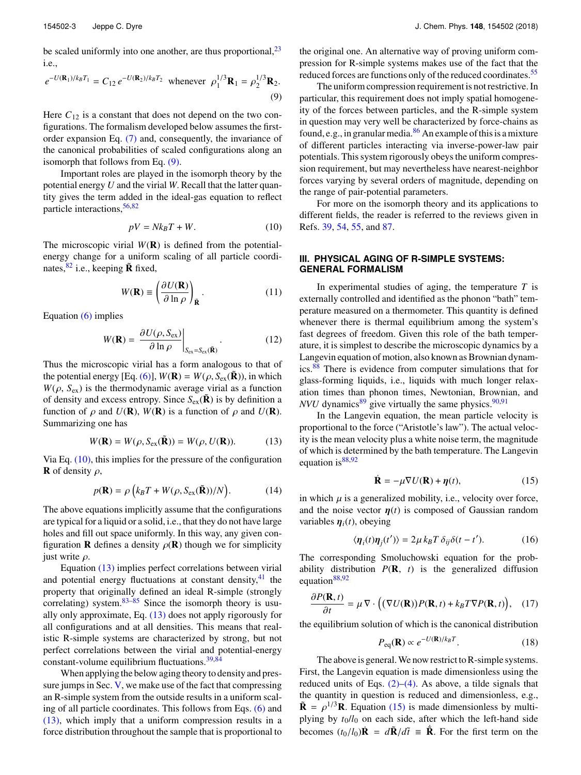be scaled uniformly into one another, are thus proportional,  $23$ i.e.,

$$
e^{-U(\mathbf{R}_1)/k_B T_1} = C_{12} e^{-U(\mathbf{R}_2)/k_B T_2} \text{ whenever } \rho_1^{1/3} \mathbf{R}_1 = \rho_2^{1/3} \mathbf{R}_2. \tag{9}
$$

Here  $C_{12}$  is a constant that does not depend on the two configurations. The formalism developed below assumes the firstorder expansion Eq. [\(7\)](#page-1-4) and, consequently, the invariance of the canonical probabilities of scaled configurations along an isomorph that follows from Eq. [\(9\).](#page-2-2)

Important roles are played in the isomorph theory by the potential energy *U* and the virial *W*. Recall that the latter quantity gives the term added in the ideal-gas equation to reflect particle interactions,[56,](#page-11-1)[82](#page-11-23)

<span id="page-2-3"></span>
$$
pV = Nk_B T + W. \tag{10}
$$

The microscopic virial  $W(\mathbf{R})$  is defined from the potentialenergy change for a uniform scaling of all particle coordi-nates, <sup>[82](#page-11-23)</sup> i.e., keeping  $\tilde{\mathbf{R}}$  fixed,

$$
W(\mathbf{R}) \equiv \left(\frac{\partial U(\mathbf{R})}{\partial \ln \rho}\right)_{\tilde{\mathbf{R}}}.\tag{11}
$$

Equation [\(6\)](#page-1-3) implies

$$
W(\mathbf{R}) = \left. \frac{\partial U(\rho, S_{\text{ex}})}{\partial \ln \rho} \right|_{S_{\text{ex}} = S_{\text{ex}}(\tilde{\mathbf{R}})}.
$$
 (12)

Thus the microscopic virial has a form analogous to that of the potential energy [Eq. [\(6\)\]](#page-1-3),  $W(\mathbf{R}) = W(\rho, S_{\text{ex}}(\mathbf{\tilde{R}}))$ , in which  $W(\rho, S_{ex})$  is the thermodynamic average virial as a function of density and excess entropy. Since  $S_{ex}(\tilde{\mathbf{R}})$  is by definition a function of  $\rho$  and  $U(\mathbf{R})$ ,  $W(\mathbf{R})$  is a function of  $\rho$  and  $U(\mathbf{R})$ . Summarizing one has

<span id="page-2-4"></span>
$$
W(\mathbf{R}) = W(\rho, S_{\text{ex}}(\tilde{\mathbf{R}})) = W(\rho, U(\mathbf{R})).
$$
 (13)

Via Eq. [\(10\),](#page-2-3) this implies for the pressure of the configuration **R** of density  $\rho$ ,

<span id="page-2-5"></span>
$$
p(\mathbf{R}) = \rho \left( k_B T + W(\rho, S_{\text{ex}}(\tilde{\mathbf{R}}))/N \right).
$$
 (14)

The above equations implicitly assume that the configurations are typical for a liquid or a solid, i.e., that they do not have large holes and fill out space uniformly. In this way, any given configuration **R** defines a density  $\rho(\mathbf{R})$  though we for simplicity just write  $\rho$ .

Equation [\(13\)](#page-2-4) implies perfect correlations between virial and potential energy fluctuations at constant density, $41$  the property that originally defined an ideal R-simple (strongly correlating) system. $83-85$  $83-85$  Since the isomorph theory is usually only approximate, Eq. [\(13\)](#page-2-4) does not apply rigorously for all configurations and at all densities. This means that realistic R-simple systems are characterized by strong, but not perfect correlations between the virial and potential-energy constant-volume equilibrium fluctuations.[39,](#page-10-10)[84](#page-11-26)

When applying the below aging theory to density and pressure jumps in Sec. [V,](#page-4-0) we make use of the fact that compressing an R-simple system from the outside results in a uniform scaling of all particle coordinates. This follows from Eqs. [\(6\)](#page-1-3) and [\(13\),](#page-2-4) which imply that a uniform compression results in a force distribution throughout the sample that is proportional to

the original one. An alternative way of proving uniform compression for R-simple systems makes use of the fact that the reduced forces are functions only of the reduced coordinates.<sup>[55](#page-11-0)</sup>

<span id="page-2-2"></span>The uniform compression requirement is not restrictive. In particular, this requirement does not imply spatial homogeneity of the forces between particles, and the R-simple system in question may very well be characterized by force-chains as found, e.g., in granular media. $86$  An example of this is a mixture of different particles interacting via inverse-power-law pair potentials. This system rigorously obeys the uniform compression requirement, but may nevertheless have nearest-neighbor forces varying by several orders of magnitude, depending on the range of pair-potential parameters.

For more on the isomorph theory and its applications to different fields, the reader is referred to the reviews given in Refs. [39,](#page-10-10) [54,](#page-11-28) [55,](#page-11-0) and [87.](#page-11-29)

## <span id="page-2-0"></span>**III. PHYSICAL AGING OF R-SIMPLE SYSTEMS: GENERAL FORMALISM**

In experimental studies of aging, the temperature  $T$  is externally controlled and identified as the phonon "bath" temperature measured on a thermometer. This quantity is defined whenever there is thermal equilibrium among the system's fast degrees of freedom. Given this role of the bath temperature, it is simplest to describe the microscopic dynamics by a Langevin equation of motion, also known as Brownian dynamics.[88](#page-11-30) There is evidence from computer simulations that for glass-forming liquids, i.e., liquids with much longer relaxation times than phonon times, Newtonian, Brownian, and *NVU* dynamics $^{89}$  $^{89}$  $^{89}$  give virtually the same physics. $^{90,91}$  $^{90,91}$  $^{90,91}$  $^{90,91}$ 

In the Langevin equation, the mean particle velocity is proportional to the force ("Aristotle's law"). The actual velocity is the mean velocity plus a white noise term, the magnitude of which is determined by the bath temperature. The Langevin equation is  $88,92$  $88,92$ 

<span id="page-2-1"></span>
$$
\dot{\mathbf{R}} = -\mu \nabla U(\mathbf{R}) + \eta(t),\tag{15}
$$

in which  $\mu$  is a generalized mobility, i.e., velocity over force, and the noise vector  $\eta(t)$  is composed of Gaussian random variables  $\eta_i(t)$ , obeying

$$
\langle \eta_i(t)\eta_j(t')\rangle = 2\mu k_B T \,\delta_{ij}\delta(t-t').\tag{16}
$$

The corresponding Smoluchowski equation for the probability distribution  $P(\mathbf{R}, t)$  is the generalized diffusion equation $88,92$  $88,92$ 

$$
\frac{\partial P(\mathbf{R},t)}{\partial t} = \mu \nabla \cdot \left( (\nabla U(\mathbf{R})) P(\mathbf{R},t) + k_B T \nabla P(\mathbf{R},t) \right), \quad (17)
$$

 $\partial t$   $\overrightarrow{r}$  (( $\overrightarrow{r}$  ( $\overrightarrow{r}$ )),  $\overrightarrow{r}$  ( $\overrightarrow{r}$ ),  $\overrightarrow{r}$  ( $\overrightarrow{r}$ ),  $\overrightarrow{r}$ ),  $\overrightarrow{r}$ ),  $\overrightarrow{r}$ ),  $\overrightarrow{r}$ ),  $\overrightarrow{r}$ ),  $\overrightarrow{r}$ 

$$
P_{\text{eq}}(\mathbf{R}) \propto e^{-U(\mathbf{R})/k_B T}.
$$
 (18)

The above is general.We now restrict to R-simple systems. First, the Langevin equation is made dimensionless using the reduced units of Eqs.  $(2)$ – $(4)$ . As above, a tilde signals that the quantity in question is reduced and dimensionless, e.g.,  $\tilde{\mathbf{R}} = \rho^{1/3} \mathbf{R}$ . Equation [\(15\)](#page-2-1) is made dimensionless by multi-<br>plying by talk on each side, after which the left-hand side plying by  $t_0/l_0$  on each side, after which the left-hand side becomes  $(t_0/l_0)\dot{\mathbf{R}} = d\tilde{\mathbf{R}}/d\tilde{t} \equiv \dot{\tilde{\mathbf{R}}}$ . For the first term on the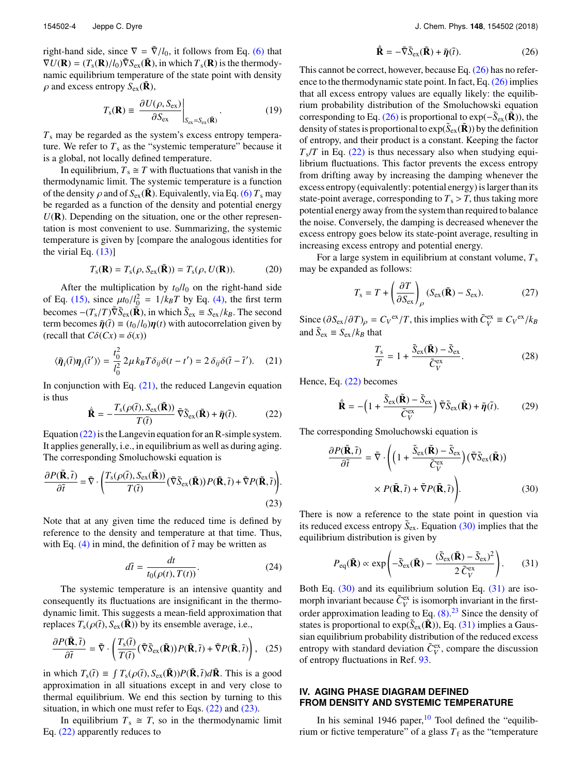right-hand side, since  $\nabla = \tilde{\nabla}/l_0$ , it follows from Eq. [\(6\)](#page-1-3) that  $\nabla U(\mathbf{R}) = (T_s(\mathbf{R})/l_0)\tilde{\nabla}S_{\text{ex}}(\tilde{\mathbf{R}})$ , in which  $T_s(\mathbf{R})$  is the thermodynamic equilibrium temperature of the state point with density  $\rho$  and excess entropy  $S_{\text{ex}}(\mathbf{\tilde{R}})$ ,

<span id="page-3-7"></span>
$$
T_{\rm s}(\mathbf{R}) \equiv \left. \frac{\partial U(\rho, S_{\rm ex})}{\partial S_{\rm ex}} \right|_{S_{\rm ex} = S_{\rm ex}(\mathbf{\tilde{R}})}.
$$
 (19)

*T*<sup>s</sup> may be regarded as the system's excess entropy temperature. We refer to  $T_s$  as the "systemic temperature" because it is a global, not locally defined temperature.

In equilibrium,  $T_s \cong T$  with fluctuations that vanish in the thermodynamic limit. The systemic temperature is a function of the density  $\rho$  and of  $S_{\text{ex}}(\mathbf{\hat{R}})$ . Equivalently, via Eq. [\(6\)](#page-1-3)  $T_s$  may be regarded as a function of the density and potential energy  $U(\mathbf{R})$ . Depending on the situation, one or the other representation is most convenient to use. Summarizing, the systemic temperature is given by [compare the analogous identities for the virial Eq. [\(13\)\]](#page-2-4)

<span id="page-3-8"></span>
$$
T_{\rm s}(\mathbf{R}) = T_{\rm s}(\rho, S_{\rm ex}(\tilde{\mathbf{R}})) = T_{\rm s}(\rho, U(\mathbf{R})).
$$
 (20)

After the multiplication by  $t_0/l_0$  on the right-hand side of Eq. [\(15\),](#page-2-1) since  $\mu t_0/l_0^2 = 1/k_B T$  by Eq. [\(4\),](#page-1-6) the first term<br>becomes  $(T/T)\tilde{\nabla} \tilde{\nabla}$  ( $\tilde{\mathbf{D}}$ ) in which  $\tilde{\nabla} = S/l_0$ . The second becomes  $-(T_s/T)\tilde{\nabla}\tilde{\mathbf{S}}_{\text{ex}}(\tilde{\mathbf{R}})$ , in which  $\tilde{\mathbf{S}}_{\text{ex}} \equiv S_{\text{ex}}/k_B$ . The second term becomes  $\tilde{\mathbf{n}}(\tilde{\mathbf{r}}) \equiv (t_s/l_s)\mathbf{n}(t)$  with autocorrelation given by term becomes  $\tilde{\eta}(\tilde{t}) \equiv (t_0/l_0)\eta(t)$  with autocorrelation given by (recall that  $C\delta(Cx) = \delta(x)$ )

<span id="page-3-1"></span>
$$
\langle \tilde{\pmb{\eta}}_i(\tilde{t}) \pmb{\eta}_j(\tilde{t}') \rangle = \frac{t_0^2}{l_0^2} 2\mu k_B T \delta_{ij} \delta(t - t') = 2 \delta_{ij} \delta(\tilde{t} - \tilde{t}'). \tag{21}
$$

In conjunction with Eq.  $(21)$ , the reduced Langevin equation is thus

<span id="page-3-2"></span>
$$
\dot{\tilde{\mathbf{R}}} = -\frac{T_{\rm s}(\rho(\tilde{t}), S_{\rm ex}(\tilde{\mathbf{R}}))}{T(\tilde{t})} \tilde{\nabla} \tilde{S}_{\rm ex}(\tilde{\mathbf{R}}) + \tilde{\boldsymbol{\eta}}(\tilde{t}).
$$
 (22)

Equation  $(22)$  is the Langevin equation for an R-simple system. It applies generally, i.e., in equilibrium as well as during aging. The corresponding Smoluchowski equation is

$$
\frac{\partial P(\tilde{\mathbf{R}},\tilde{t})}{\partial \tilde{t}} = \tilde{\nabla} \cdot \left( \frac{T_s(\rho(\tilde{t}), S_{\text{ex}}(\tilde{\mathbf{R}}))}{T(\tilde{t})} (\tilde{\nabla} \tilde{S}_{\text{ex}}(\tilde{\mathbf{R}})) P(\tilde{\mathbf{R}}, \tilde{t}) + \tilde{\nabla} P(\tilde{\mathbf{R}}, \tilde{t}) \right).
$$
\n(23)

Note that at any given time the reduced time is defined by reference to the density and temperature at that time. Thus, with Eq.  $(4)$  in mind, the definition of  $\tilde{t}$  may be written as

<span id="page-3-10"></span>
$$
d\tilde{t} = \frac{dt}{t_0(\rho(t), T(t))}.
$$
 (24)

The systemic temperature is an intensive quantity and consequently its fluctuations are insignificant in the thermodynamic limit. This suggests a mean-field approximation that replaces  $T_s(\rho(\tilde{t}), S_{ex}(\tilde{\mathbf{R}}))$  by its ensemble average, i.e.,

<span id="page-3-9"></span>
$$
\frac{\partial P(\tilde{\mathbf{R}},\tilde{t})}{\partial \tilde{t}} = \tilde{\nabla} \cdot \left( \frac{T_{\rm s}(\tilde{t})}{T(\tilde{t})} (\tilde{\nabla} \tilde{S}_{\rm ex}(\tilde{\mathbf{R}})) P(\tilde{\mathbf{R}},\tilde{t}) + \tilde{\nabla} P(\tilde{\mathbf{R}},\tilde{t}) \right), \quad (25)
$$

in which  $T_s(\tilde{t}) \equiv \int T_s(\rho(\tilde{t}), S_{ex}(\tilde{\bf{R}})) P(\tilde{\bf{R}}, \tilde{t}) d\tilde{\bf{R}}$ . This is a good approximation in all situations except in and very close to thermal equilibrium. We end this section by turning to this situation, in which one must refer to Eqs.  $(22)$  and  $(23)$ .

In equilibrium  $T_s \cong T$ , so in the thermodynamic limit Eq. [\(22\)](#page-3-2) apparently reduces to

<span id="page-3-4"></span>
$$
\dot{\tilde{\mathbf{R}}} = -\tilde{\nabla}\tilde{S}_{\text{ex}}(\tilde{\mathbf{R}}) + \tilde{\boldsymbol{\eta}}(\tilde{t}).
$$
\n(26)

This cannot be correct, however, because Eq.  $(26)$  has no reference to the thermodynamic state point. In fact, Eq. [\(26\)](#page-3-4) implies that all excess entropy values are equally likely: the equilibrium probability distribution of the Smoluchowski equation corresponding to Eq. [\(26\)](#page-3-4) is proportional to  $exp(-\tilde{S}_{ex}(\tilde{\mathbf{R}}))$ , the density of states is proportional to  $exp(\tilde{S}_{ex}(\tilde{\mathbf{R}}))$  by the definition of entropy, and their product is a constant. Keeping the factor  $T_s/T$  in Eq. [\(22\)](#page-3-2) is thus necessary also when studying equilibrium fluctuations. This factor prevents the excess entropy from drifting away by increasing the damping whenever the excess entropy (equivalently: potential energy) is larger than its state-point average, corresponding to  $T_s > T$ , thus taking more potential energy away from the system than required to balance the noise. Conversely, the damping is decreased whenever the excess entropy goes below its state-point average, resulting in increasing excess entropy and potential energy.

For a large system in equilibrium at constant volume,  $T_s$ may be expanded as follows:

$$
T_{\rm s} = T + \left(\frac{\partial T}{\partial S_{\rm ex}}\right)_{\rho} (S_{\rm ex}(\tilde{\mathbf{R}}) - S_{\rm ex}).
$$
 (27)

Since  $(\partial S_{\text{ex}}/\partial T)_\rho = C_V^{\text{ex}}/T$ , this implies with  $\tilde{C}_V^{\text{ex}} \equiv C_V^{\text{ex}}/k_B$ and  $\tilde{S}_{\text{ex}} \equiv S_{\text{ex}}/k_B$  that

$$
\frac{T_s}{T} = 1 + \frac{\tilde{S}_{\text{ex}}(\tilde{\mathbf{R}}) - \tilde{S}_{\text{ex}}}{\tilde{C}_V^{\text{ex}}}.
$$
\n(28)

Hence, Eq. [\(22\)](#page-3-2) becomes

$$
\dot{\tilde{\mathbf{R}}} = -\left(1 + \frac{\tilde{S}_{\text{ex}}(\tilde{\mathbf{R}}) - \tilde{S}_{\text{ex}}}{\tilde{C}_{V}^{\text{ex}}}\right) \tilde{\nabla} \tilde{S}_{\text{ex}}(\tilde{\mathbf{R}}) + \tilde{\eta}(\tilde{t}).
$$
 (29)

The corresponding Smoluchowski equation is

<span id="page-3-5"></span>
$$
\frac{\partial P(\tilde{\mathbf{R}}, \tilde{t})}{\partial \tilde{t}} = \tilde{\nabla} \cdot \left( \left( 1 + \frac{\tilde{S}_{\text{ex}}(\tilde{\mathbf{R}}) - \tilde{S}_{\text{ex}}}{\tilde{C}_{V}^{\text{ex}}} \right) (\tilde{\nabla} \tilde{S}_{\text{ex}}(\tilde{\mathbf{R}})) \times P(\tilde{\mathbf{R}}, \tilde{t}) + \tilde{\nabla} P(\tilde{\mathbf{R}}, \tilde{t}) \right).
$$
(30)

<span id="page-3-3"></span>There is now a reference to the state point in question via its reduced excess entropy  $\tilde{S}_{\text{ex}}$ . Equation [\(30\)](#page-3-5) implies that the equilibrium distribution is given by

<span id="page-3-6"></span>
$$
P_{\text{eq}}(\tilde{\mathbf{R}}) \propto \exp\left(-\tilde{S}_{\text{ex}}(\tilde{\mathbf{R}}) - \frac{(\tilde{S}_{\text{ex}}(\tilde{\mathbf{R}}) - \tilde{S}_{\text{ex}})^2}{2\,\tilde{C}_V^{\text{ex}}}\right).
$$
 (31)

Both Eq.  $(30)$  and its equilibrium solution Eq.  $(31)$  are isomorph invariant because  $\tilde{C}_V^{\text{ex}}$  is isomorph invariant in the firstorder approximation leading to Eq.  $(8)$ .<sup>[23](#page-10-7)</sup> Since the density of states is proportional to  $exp(\tilde{S}_{ex}(\tilde{\mathbf{R}}))$ , Eq. [\(31\)](#page-3-6) implies a Gaussian equilibrium probability distribution of the reduced excess entropy with standard deviation  $\tilde{C}_V^{\text{ex}}$ , compare the discussion of entropy fluctuations in Ref. [93.](#page-11-35)

## <span id="page-3-0"></span>**IV. AGING PHASE DIAGRAM DEFINED FROM DENSITY AND SYSTEMIC TEMPERATURE**

In his seminal 1946 paper,  $10$  Tool defined the "equilibrium or fictive temperature" of a glass  $T_f$  as the "temperature"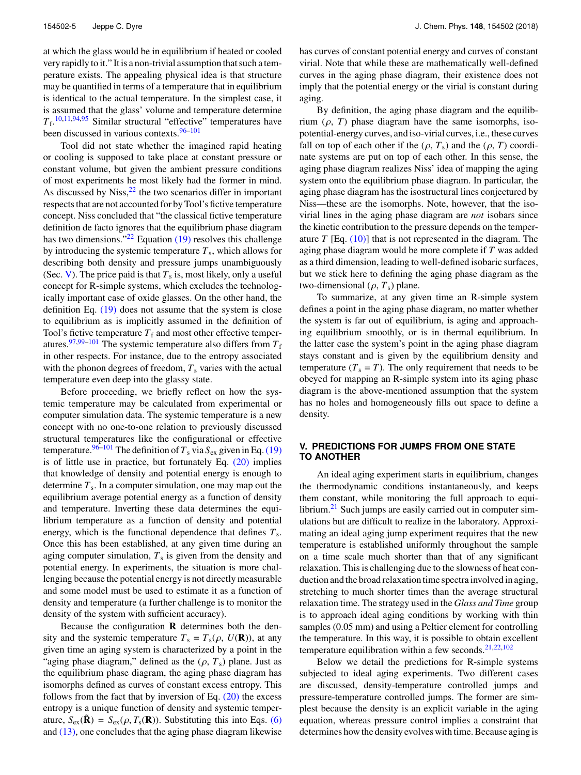at which the glass would be in equilibrium if heated or cooled very rapidly to it." It is a non-trivial assumption that such a temperature exists. The appealing physical idea is that structure may be quantified in terms of a temperature that in equilibrium is identical to the actual temperature. In the simplest case, it is assumed that the glass' volume and temperature determine *T*f . [10](#page-10-4)[,11](#page-10-15)[,94,](#page-11-36)[95](#page-11-37) Similar structural "effective" temperatures have been discussed in various contexts.<sup>[96](#page-11-38)[–101](#page-11-39)</sup>

Tool did not state whether the imagined rapid heating or cooling is supposed to take place at constant pressure or constant volume, but given the ambient pressure conditions of most experiments he most likely had the former in mind. As discussed by  $Niss$ ,  $^{22}$  $^{22}$  $^{22}$  the two scenarios differ in important respects that are not accounted for by Tool's fictive temperature concept. Niss concluded that "the classical fictive temperature definition de facto ignores that the equilibrium phase diagram has two dimensions."<sup>[22](#page-10-6)</sup> Equation  $(19)$  resolves this challenge by introducing the systemic temperature  $T_s$ , which allows for describing both density and pressure jumps unambiguously (Sec. [V\)](#page-4-0). The price paid is that  $T_s$  is, most likely, only a useful concept for R-simple systems, which excludes the technologically important case of oxide glasses. On the other hand, the definition Eq. [\(19\)](#page-3-7) does not assume that the system is close to equilibrium as is implicitly assumed in the definition of Tool's fictive temperature  $T_f$  and most other effective temper-atures.<sup>[97](#page-11-40)[,99](#page-11-41)[–101](#page-11-39)</sup> The systemic temperature also differs from  $T_f$ in other respects. For instance, due to the entropy associated with the phonon degrees of freedom,  $T_s$  varies with the actual temperature even deep into the glassy state.

Before proceeding, we briefly reflect on how the systemic temperature may be calculated from experimental or computer simulation data. The systemic temperature is a new concept with no one-to-one relation to previously discussed structural temperatures like the configurational or effective temperature.<sup>[96](#page-11-38)[–101](#page-11-39)</sup> The definition of  $T_s$  via  $S_{ex}$  given in Eq. [\(19\)](#page-3-7) is of little use in practice, but fortunately Eq. [\(20\)](#page-3-8) implies that knowledge of density and potential energy is enough to determine *T*<sup>s</sup> . In a computer simulation, one may map out the equilibrium average potential energy as a function of density and temperature. Inverting these data determines the equilibrium temperature as a function of density and potential energy, which is the functional dependence that defines *T*<sup>s</sup> . Once this has been established, at any given time during an aging computer simulation,  $T_s$  is given from the density and potential energy. In experiments, the situation is more challenging because the potential energy is not directly measurable and some model must be used to estimate it as a function of density and temperature (a further challenge is to monitor the density of the system with sufficient accuracy).

Because the configuration **R** determines both the density and the systemic temperature  $T_s = T_s(\rho, U(\mathbf{R}))$ , at any given time an aging system is characterized by a point in the "aging phase diagram," defined as the  $(\rho, T_s)$  plane. Just as the equilibrium phase diagram, the aging phase diagram has isomorphs defined as curves of constant excess entropy. This follows from the fact that by inversion of Eq.  $(20)$  the excess entropy is a unique function of density and systemic temperature,  $S_{\text{ex}}(\mathbf{\tilde{R}}) = S_{\text{ex}}(\rho, T_s(\mathbf{R}))$ . Substituting this into Eqs. [\(6\)](#page-1-3) and [\(13\),](#page-2-4) one concludes that the aging phase diagram likewise

has curves of constant potential energy and curves of constant virial. Note that while these are mathematically well-defined curves in the aging phase diagram, their existence does not imply that the potential energy or the virial is constant during aging.

By definition, the aging phase diagram and the equilibrium  $(\rho, T)$  phase diagram have the same isomorphs, isopotential-energy curves, and iso-virial curves, i.e., these curves fall on top of each other if the  $(\rho, T_s)$  and the  $(\rho, T)$  coordinate systems are put on top of each other. In this sense, the aging phase diagram realizes Niss' idea of mapping the aging system onto the equilibrium phase diagram. In particular, the aging phase diagram has the isostructural lines conjectured by Niss—these are the isomorphs. Note, however, that the isovirial lines in the aging phase diagram are *not* isobars since the kinetic contribution to the pressure depends on the temperature *T* [Eq. [\(10\)\]](#page-2-3) that is not represented in the diagram. The aging phase diagram would be more complete if *T* was added as a third dimension, leading to well-defined isobaric surfaces, but we stick here to defining the aging phase diagram as the two-dimensional  $(\rho, T_s)$  plane.

To summarize, at any given time an R-simple system defines a point in the aging phase diagram, no matter whether the system is far out of equilibrium, is aging and approaching equilibrium smoothly, or is in thermal equilibrium. In the latter case the system's point in the aging phase diagram stays constant and is given by the equilibrium density and temperature  $(T_s = T)$ . The only requirement that needs to be obeyed for mapping an R-simple system into its aging phase diagram is the above-mentioned assumption that the system has no holes and homogeneously fills out space to define a density.

## <span id="page-4-0"></span>**V. PREDICTIONS FOR JUMPS FROM ONE STATE TO ANOTHER**

An ideal aging experiment starts in equilibrium, changes the thermodynamic conditions instantaneously, and keeps them constant, while monitoring the full approach to equilibrium. $21$  Such jumps are easily carried out in computer simulations but are difficult to realize in the laboratory. Approximating an ideal aging jump experiment requires that the new temperature is established uniformly throughout the sample on a time scale much shorter than that of any significant relaxation. This is challenging due to the slowness of heat conduction and the broad relaxation time spectra involved in aging, stretching to much shorter times than the average structural relaxation time. The strategy used in the *Glass and Time* group is to approach ideal aging conditions by working with thin samples (0.05 mm) and using a Peltier element for controlling the temperature. In this way, it is possible to obtain excellent temperature equilibration within a few seconds. $21,22,102$  $21,22,102$  $21,22,102$ 

Below we detail the predictions for R-simple systems subjected to ideal aging experiments. Two different cases are discussed, density-temperature controlled jumps and pressure-temperature controlled jumps. The former are simplest because the density is an explicit variable in the aging equation, whereas pressure control implies a constraint that determines how the density evolves with time. Because aging is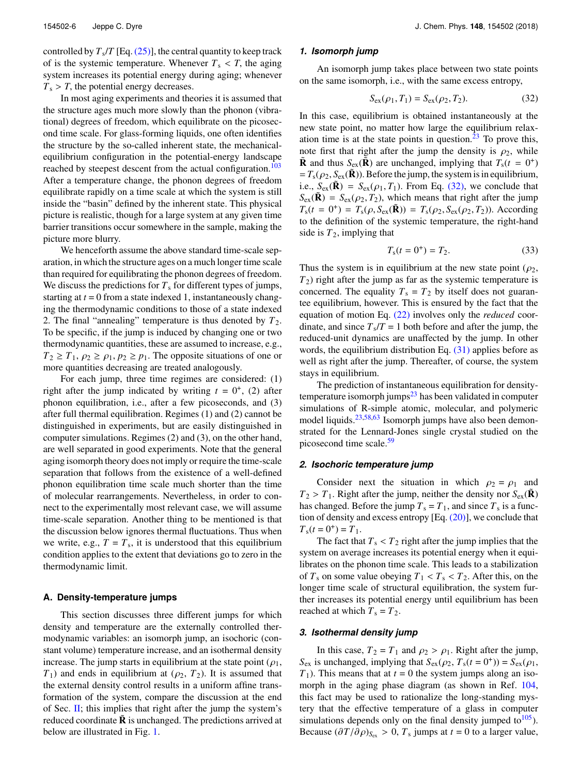controlled by  $T_s/T$  [Eq.  $(25)$ ], the central quantity to keep track of is the systemic temperature. Whenever  $T_s < T$ , the aging system increases its potential energy during aging; whenever  $T_s$  >  $T$ , the potential energy decreases.

In most aging experiments and theories it is assumed that the structure ages much more slowly than the phonon (vibrational) degrees of freedom, which equilibrate on the picosecond time scale. For glass-forming liquids, one often identifies the structure by the so-called inherent state, the mechanicalequilibrium configuration in the potential-energy landscape reached by steepest descent from the actual configuration.<sup>[103](#page-11-43)</sup> After a temperature change, the phonon degrees of freedom equilibrate rapidly on a time scale at which the system is still inside the "basin" defined by the inherent state. This physical picture is realistic, though for a large system at any given time barrier transitions occur somewhere in the sample, making the picture more blurry.

We henceforth assume the above standard time-scale separation, in which the structure ages on a much longer time scale than required for equilibrating the phonon degrees of freedom. We discuss the predictions for  $T_s$  for different types of jumps, starting at  $t = 0$  from a state indexed 1, instantaneously changing the thermodynamic conditions to those of a state indexed 2. The final "annealing" temperature is thus denoted by  $T_2$ . To be specific, if the jump is induced by changing one or two thermodynamic quantities, these are assumed to increase, e.g.,  $T_2 \geq T_1$ ,  $\rho_2 \geq \rho_1$ ,  $p_2 \geq p_1$ . The opposite situations of one or more quantities decreasing are treated analogously.

For each jump, three time regimes are considered: (1) right after the jump indicated by writing  $t = 0^+$ , (2) after phonon equilibration, i.e., after a few picoseconds, and (3) after full thermal equilibration. Regimes (1) and (2) cannot be distinguished in experiments, but are easily distinguished in computer simulations. Regimes (2) and (3), on the other hand, are well separated in good experiments. Note that the general aging isomorph theory does not imply or require the time-scale separation that follows from the existence of a well-defined phonon equilibration time scale much shorter than the time of molecular rearrangements. Nevertheless, in order to connect to the experimentally most relevant case, we will assume time-scale separation. Another thing to be mentioned is that the discussion below ignores thermal fluctuations. Thus when we write, e.g.,  $T = T_s$ , it is understood that this equilibrium condition applies to the extent that deviations go to zero in the thermodynamic limit.

#### **A. Density-temperature jumps**

This section discusses three different jumps for which density and temperature are the externally controlled thermodynamic variables: an isomorph jump, an isochoric (constant volume) temperature increase, and an isothermal density increase. The jump starts in equilibrium at the state point  $(\rho_1, \rho_2)$  $T_1$ ) and ends in equilibrium at ( $\rho_2$ ,  $T_2$ ). It is assumed that the external density control results in a uniform affine transformation of the system, compare the discussion at the end of Sec. [II;](#page-1-0) this implies that right after the jump the system's reduced coordinate  $\tilde{\mathbf{R}}$  is unchanged. The predictions arrived at below are illustrated in Fig. [1.](#page-6-0)

#### *1. Isomorph jump*

An isomorph jump takes place between two state points on the same isomorph, i.e., with the same excess entropy,

<span id="page-5-0"></span>
$$
S_{\rm ex}(\rho_1, T_1) = S_{\rm ex}(\rho_2, T_2). \tag{32}
$$

In this case, equilibrium is obtained instantaneously at the new state point, no matter how large the equilibrium relaxation time is at the state points in question. $2<sup>3</sup>$  To prove this, note first that right after the jump the density is  $\rho_2$ , while  $\tilde{\mathbf{R}}$  and thus  $S_{\text{ex}}(\tilde{\mathbf{R}})$  are unchanged, implying that  $T_{\text{s}}(t = 0^+)$  $=T_s(\rho_2, S_{ex}(\mathbf{R}))$ . Before the jump, the system is in equilibrium, i.e.,  $S_{\text{ex}}(\mathbf{R}) = S_{\text{ex}}(\rho_1, T_1)$ . From Eq. [\(32\),](#page-5-0) we conclude that  $S_{\text{ex}}(\mathbf{\tilde{R}}) = S_{\text{ex}}(\rho_2, T_2)$ , which means that right after the jump  $T_s(t = 0^+) = T_s(\rho, S_{ex}(\mathbf{\tilde{R}})) = T_s(\rho_2, S_{ex}(\rho_2, T_2))$ . According to the definition of the systemic temperature the right-hand to the definition of the systemic temperature, the right-hand side is  $T_2$ , implying that

$$
T_{\rm s}(t=0^+) = T_2. \tag{33}
$$

Thus the system is in equilibrium at the new state point  $(\rho_2,$ *T*2) right after the jump as far as the systemic temperature is concerned. The equality  $T_s = T_2$  by itself does not guarantee equilibrium, however. This is ensured by the fact that the equation of motion Eq. [\(22\)](#page-3-2) involves only the *reduced* coordinate, and since  $T_s/T = 1$  both before and after the jump, the reduced-unit dynamics are unaffected by the jump. In other words, the equilibrium distribution Eq. [\(31\)](#page-3-6) applies before as well as right after the jump. Thereafter, of course, the system stays in equilibrium.

The prediction of instantaneous equilibration for densitytemperature isomorph jumps $^{23}$  $^{23}$  $^{23}$  has been validated in computer simulations of R-simple atomic, molecular, and polymeric model liquids.[23](#page-10-7)[,58](#page-11-3)[,63](#page-11-8) Isomorph jumps have also been demonstrated for the Lennard-Jones single crystal studied on the picosecond time scale.<sup>[59](#page-11-4)</sup>

## *2. Isochoric temperature jump*

Consider next the situation in which  $\rho_2 = \rho_1$  and  $T_2 > T_1$ . Right after the jump, neither the density nor  $S_{\text{ex}}(\mathbf{R})$ has changed. Before the jump  $T_s = T_1$ , and since  $T_s$  is a function of density and excess entropy  $[Eq. (20)]$  $[Eq. (20)]$ , we conclude that  $T_s(t=0^+) = T_1.$ 

The fact that  $T_s < T_2$  right after the jump implies that the system on average increases its potential energy when it equilibrates on the phonon time scale. This leads to a stabilization of  $T_s$  on some value obeying  $T_1 < T_s < T_2$ . After this, on the longer time scale of structural equilibration, the system further increases its potential energy until equilibrium has been reached at which  $T_s = T_2$ .

## *3. Isothermal density jump*

In this case,  $T_2 = T_1$  and  $\rho_2 > \rho_1$ . Right after the jump,  $S_{\text{ex}}$  is unchanged, implying that  $S_{\text{ex}}(\rho_2, T_s(t=0^+)) = S_{\text{ex}}(\rho_1, T_s)$ . This means that at  $t = 0$  the system jumps along an iso- $T_1$ ). This means that at  $t = 0$  the system jumps along an isomorph in the aging phase diagram (as shown in Ref. [104,](#page-11-44) this fact may be used to rationalize the long-standing mystery that the effective temperature of a glass in computer simulations depends only on the final density jumped to  $105$ ). Because  $(\partial T/\partial \rho)_{S_{\text{ex}}} > 0$ ,  $T_s$  jumps at  $t = 0$  to a larger value,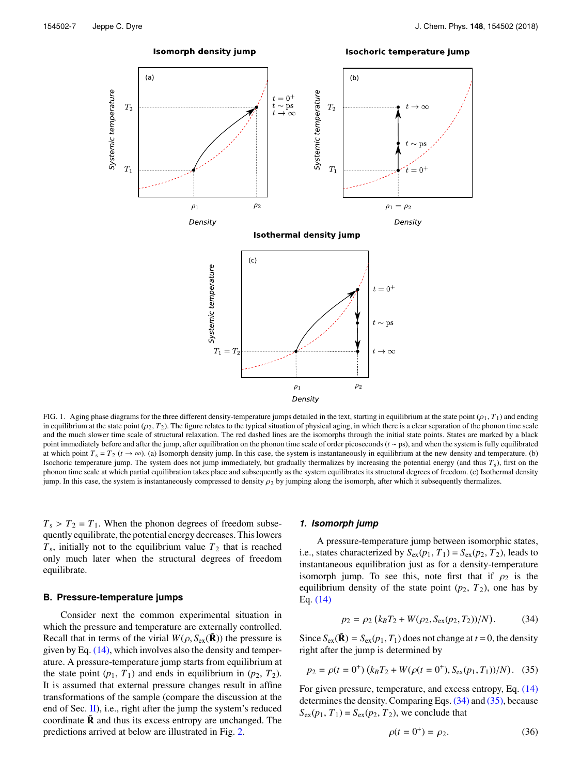<span id="page-6-0"></span>

FIG. 1. Aging phase diagrams for the three different density-temperature jumps detailed in the text, starting in equilibrium at the state point  $(\rho_1, T_1)$  and ending in equilibrium at the state point  $(\rho_2, T_2)$ . The figure relates to the typical situation of physical aging, in which there is a clear separation of the phonon time scale and the much slower time scale of structural relaxation. The red dashed lines are the isomorphs through the initial state points. States are marked by a black point immediately before and after the jump, after equilibration on the phonon time scale of order picoseconds (*t* ∼ ps), and when the system is fully equilibrated at which point  $T_s = T_2$  ( $t \to \infty$ ). (a) Isomorph density jump. In this case, the system is instantaneously in equilibrium at the new density and temperature. (b) Isochoric temperature jump. The system does not jump immediately, but gradually thermalizes by increasing the potential energy (and thus *T*s), first on the phonon time scale at which partial equilibration takes place and subsequently as the system equilibrates its structural degrees of freedom. (c) Isothermal density jump. In this case, the system is instantaneously compressed to density  $\rho_2$  by jumping along the isomorph, after which it subsequently thermalizes.

 $T_s$  >  $T_2 = T_1$ . When the phonon degrees of freedom subsequently equilibrate, the potential energy decreases. This lowers  $T_s$ , initially not to the equilibrium value  $T_2$  that is reached only much later when the structural degrees of freedom equilibrate.

#### **B. Pressure-temperature jumps**

Consider next the common experimental situation in which the pressure and temperature are externally controlled. Recall that in terms of the virial  $W(\rho, S_{\text{ex}}(R))$  the pressure is given by Eq. [\(14\),](#page-2-5) which involves also the density and temperature. A pressure-temperature jump starts from equilibrium at the state point  $(p_1, T_1)$  and ends in equilibrium in  $(p_2, T_2)$ . It is assumed that external pressure changes result in affine transformations of the sample (compare the discussion at the end of Sec. [II\)](#page-1-0), i.e., right after the jump the system's reduced coordinate  $\tilde{\mathbf{R}}$  and thus its excess entropy are unchanged. The predictions arrived at below are illustrated in Fig. [2.](#page-7-0)

## *1. Isomorph jump*

A pressure-temperature jump between isomorphic states, i.e., states characterized by  $S_{ex}(p_1, T_1) = S_{ex}(p_2, T_2)$ , leads to instantaneous equilibration just as for a density-temperature isomorph jump. To see this, note first that if  $\rho_2$  is the equilibrium density of the state point  $(p_2, T_2)$ , one has by Eq. [\(14\)](#page-2-5)

<span id="page-6-1"></span>
$$
p_2 = \rho_2 (k_B T_2 + W(\rho_2, S_{\text{ex}}(p_2, T_2))/N). \tag{34}
$$

Since  $S_{ex}(\mathbf{R}) = S_{ex}(p_1, T_1)$  does not change at  $t = 0$ , the density right after the jump is determined by

<span id="page-6-2"></span>
$$
p_2 = \rho(t = 0^+) (k_B T_2 + W(\rho(t = 0^+), S_{\text{ex}}(p_1, T_1))/N). \quad (35)
$$

For given pressure, temperature, and excess entropy, Eq. [\(14\)](#page-2-5) determines the density. Comparing Eqs. [\(34\)](#page-6-1) and [\(35\),](#page-6-2) because  $S_{\text{ex}}(p_1, T_1) = S_{\text{ex}}(p_2, T_2)$ , we conclude that

$$
\rho(t = 0^+) = \rho_2. \tag{36}
$$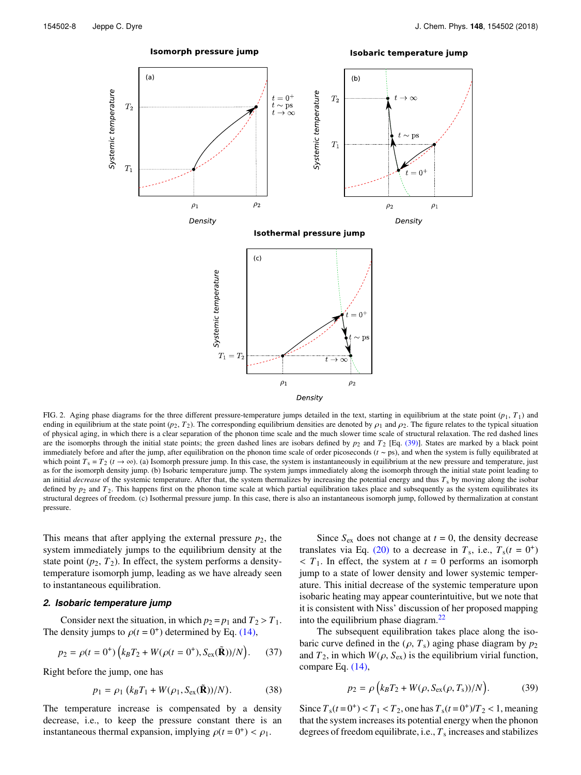<span id="page-7-0"></span>

FIG. 2. Aging phase diagrams for the three different pressure-temperature jumps detailed in the text, starting in equilibrium at the state point  $(p_1, T_1)$  and ending in equilibrium at the state point ( $p_2$ ,  $T_2$ ). The corresponding equilibrium densities are denoted by  $\rho_1$  and  $\rho_2$ . The figure relates to the typical situation of physical aging, in which there is a clear separation of the phonon time scale and the much slower time scale of structural relaxation. The red dashed lines are the isomorphs through the initial state points; the green dashed lines are isobars defined by  $p_2$  and  $T_2$  [Eq. [\(39\)\]](#page-7-1). States are marked by a black point immediately before and after the jump, after equilibration on the phonon time scale of order picoseconds (*t* ∼ ps), and when the system is fully equilibrated at which point  $T_s = T_2$  ( $t \rightarrow \infty$ ). (a) Isomorph pressure jump. In this case, the system is instantaneously in equilibrium at the new pressure and temperature, just as for the isomorph density jump. (b) Isobaric temperature jump. The system jumps immediately along the isomorph through the initial state point leading to an initial *decrease* of the systemic temperature. After that, the system thermalizes by increasing the potential energy and thus  $T_s$  by moving along the isobar defined by  $p_2$  and  $T_2$ . This happens first on the phonon time scale at which partial equilibration takes place and subsequently as the system equilibrates its structural degrees of freedom. (c) Isothermal pressure jump. In this case, there is also an instantaneous isomorph jump, followed by thermalization at constant pressure.

This means that after applying the external pressure  $p_2$ , the system immediately jumps to the equilibrium density at the state point  $(p_2, T_2)$ . In effect, the system performs a densitytemperature isomorph jump, leading as we have already seen to instantaneous equilibration.

## *2. Isobaric temperature jump*

Consider next the situation, in which  $p_2 = p_1$  and  $T_2 > T_1$ . The density jumps to  $\rho(t = 0^+)$  determined by Eq. [\(14\),](#page-2-5)

$$
p_2 = \rho(t = 0^+) \left( k_B T_2 + W(\rho(t = 0^+), S_{\text{ex}}(\tilde{\mathbf{R}}))/N \right). \tag{37}
$$

Right before the jump, one has

$$
p_1 = \rho_1 (k_B T_1 + W(\rho_1, S_{\text{ex}}(\tilde{\mathbf{R}}))/N). \tag{38}
$$

The temperature increase is compensated by a density decrease, i.e., to keep the pressure constant there is an instantaneous thermal expansion, implying  $\rho(t = 0^+) < \rho_1$ .

Since  $S_{\text{ex}}$  does not change at  $t = 0$ , the density decrease translates via Eq. [\(20\)](#page-3-8) to a decrease in  $T_s$ , i.e.,  $T_s(t = 0^+)$  $\langle T_1$ . In effect, the system at  $t = 0$  performs an isomorph jump to a state of lower density and lower systemic temperature. This initial decrease of the systemic temperature upon isobaric heating may appear counterintuitive, but we note that it is consistent with Niss' discussion of her proposed mapping into the equilibrium phase diagram. $^{22}$  $^{22}$  $^{22}$ 

The subsequent equilibration takes place along the isobaric curve defined in the  $(\rho, T_s)$  aging phase diagram by  $p_2$ and  $T_2$ , in which  $W(\rho, S_{\text{ex}})$  is the equilibrium virial function, compare Eq. [\(14\),](#page-2-5)

<span id="page-7-1"></span>
$$
p_2 = \rho \left( k_B T_2 + W(\rho, S_{\text{ex}}(\rho, T_s))/N \right). \tag{39}
$$

Since  $T_s(t=0^+) < T_1 < T_2$ , one has  $T_s(t=0^+)/T_2 < 1$ , meaning<br>that the system increases its notential energy when the phonon that the system increases its potential energy when the phonon degrees of freedom equilibrate, i.e., *T*<sup>s</sup> increases and stabilizes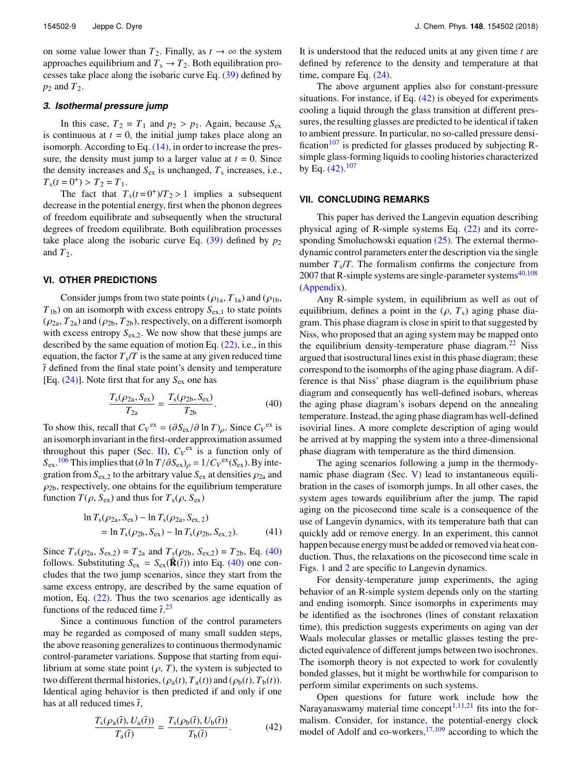on some value lower than  $T_2$ . Finally, as  $t \to \infty$  the system approaches equilibrium and  $T_s \rightarrow T_2$ . Both equilibration processes take place along the isobaric curve Eq. [\(39\)](#page-7-1) defined by  $p_2$  and  $T_2$ .

#### *3. Isothermal pressure jump*

In this case,  $T_2 = T_1$  and  $p_2 > p_1$ . Again, because  $S_{\text{ex}}$ is continuous at  $t = 0$ , the initial jump takes place along an isomorph. According to Eq. [\(14\),](#page-2-5) in order to increase the pressure, the density must jump to a larger value at  $t = 0$ . Since the density increases and  $S_{\text{ex}}$  is unchanged,  $T_s$  increases, i.e.,  $T_s(t = 0^+) > T_2 = T_1.$ <br>The fact that *T* 

The fact that  $T_s(t=0^+)/T_2 > 1$  implies a subsequent<br>ease in the potential energy first when the phonon degrees decrease in the potential energy, first when the phonon degrees of freedom equilibrate and subsequently when the structural degrees of freedom equilibrate. Both equilibration processes take place along the isobaric curve Eq.  $(39)$  defined by  $p_2$ and  $T_2$ .

## <span id="page-8-0"></span>**VI. OTHER PREDICTIONS**

Consider jumps from two state points ( $\rho_{1a}$ ,  $T_{1a}$ ) and ( $\rho_{1b}$ ,  $T_{1b}$ ) on an isomorph with excess entropy  $S_{ex,1}$  to state points  $(\rho_{2a}, T_{2a})$  and  $(\rho_{2b}, T_{2b})$ , respectively, on a different isomorph with excess entropy  $S_{\text{ex,2}}$ . We now show that these jumps are described by the same equation of motion Eq.  $(22)$ , i.e., in this equation, the factor  $T_s/T$  is the same at any given reduced time ˜*t* defined from the final state point's density and temperature [Eq.  $(24)$ ]. Note first that for any  $S_{ex}$  one has

<span id="page-8-2"></span>
$$
\frac{T_{\rm s}(\rho_{2\rm a}, S_{\rm ex})}{T_{\rm 2a}} = \frac{T_{\rm s}(\rho_{2\rm b}, S_{\rm ex})}{T_{\rm 2b}}.\tag{40}
$$

To show this, recall that  $C_V^{ex} = (\partial S_{ex}/\partial \ln T)_\rho$ . Since  $C_V^{ex}$  is an isomorph invariant in the first-order approximation assumed throughout this paper (Sec. [II\)](#page-1-0),  $C_V^{\text{ex}}$  is a function only of  $S_{\text{ex}}$ .<sup>[106](#page-11-46)</sup> This implies that  $(\partial \ln T/\partial S_{\text{ex}})_\rho = 1/C_V^{\text{ex}}(S_{\text{ex}})$ . By inte-<br>gration from *S*<sub>exe</sub> to the arbitrary value *S*<sub>exe</sub> at densities  $\Omega$  and gration from  $S_{\text{ex,2}}$  to the arbitrary value  $S_{\text{ex}}$  at densities  $\rho_{2a}$  and  $\rho_{2b}$ , respectively, one obtains for the equilibrium temperature function  $T(\rho, S_{\text{ex}})$  and thus for  $T_s(\rho, S_{\text{ex}})$ 

$$
\ln T_{s}(\rho_{2a}, S_{ex}) - \ln T_{s}(\rho_{2a}, S_{ex, 2})
$$
  
= 
$$
\ln T_{s}(\rho_{2b}, S_{ex}) - \ln T_{s}(\rho_{2b}, S_{ex, 2}).
$$
 (41)

Since  $T_s(\rho_{2a}, S_{ex,2}) = T_{2a}$  and  $T_s(\rho_{2b}, S_{ex,2}) = T_{2b}$ , Eq. [\(40\)](#page-8-2) follows. Substituting  $S_{\text{ex}} = S_{\text{ex}}(\tilde{\mathbf{R}}(\tilde{t}))$  into Eq. [\(40\)](#page-8-2) one concludes that the two jump scenarios, since they start from the same excess entropy, are described by the same equation of motion, Eq. [\(22\).](#page-3-2) Thus the two scenarios age identically as functions of the reduced time  $\tilde{t}$ <sup>[23](#page-10-7)</sup>

Since a continuous function of the control parameters may be regarded as composed of many small sudden steps, the above reasoning generalizes to continuous thermodynamic control-parameter variations. Suppose that starting from equilibrium at some state point  $(\rho, T)$ , the system is subjected to two different thermal histories,  $(\rho_a(t), T_a(t))$  and  $(\rho_b(t), T_b(t))$ . Identical aging behavior is then predicted if and only if one has at all reduced times  $\tilde{t}$ ,

<span id="page-8-3"></span>
$$
\frac{T_s(\rho_a(\tilde{t}), U_a(\tilde{t}))}{T_a(\tilde{t})} = \frac{T_s(\rho_b(\tilde{t}), U_b(\tilde{t}))}{T_b(\tilde{t})}.
$$
(42)

It is understood that the reduced units at any given time *t* are defined by reference to the density and temperature at that time, compare Eq. [\(24\).](#page-3-10)

The above argument applies also for constant-pressure situations. For instance, if Eq. [\(42\)](#page-8-3) is obeyed for experiments cooling a liquid through the glass transition at different pressures, the resulting glasses are predicted to be identical if taken to ambient pressure. In particular, no so-called pressure densi-fication<sup>[107](#page-12-0)</sup> is predicted for glasses produced by subjecting Rsimple glass-forming liquids to cooling histories characterized by Eq. [\(42\).](#page-8-3)<sup>[107](#page-12-0)</sup>

#### <span id="page-8-1"></span>**VII. CONCLUDING REMARKS**

This paper has derived the Langevin equation describing physical aging of R-simple systems Eq. [\(22\)](#page-3-2) and its corresponding Smoluchowski equation  $(25)$ . The external thermodynamic control parameters enter the description via the single number  $T_s/T$ . The formalism confirms the conjecture from 2007 that R-simple systems are single-parameter systems $40,108$  $40,108$ [\(Appendix\)](#page-9-0).

Any R-simple system, in equilibrium as well as out of equilibrium, defines a point in the  $(\rho, T_s)$  aging phase diagram. This phase diagram is close in spirit to that suggested by Niss, who proposed that an aging system may be mapped onto the equilibrium density-temperature phase diagram.<sup>[22](#page-10-6)</sup> Niss argued that isostructural lines exist in this phase diagram; these correspond to the isomorphs of the aging phase diagram. A difference is that Niss' phase diagram is the equilibrium phase diagram and consequently has well-defined isobars, whereas the aging phase diagram's isobars depend on the annealing temperature. Instead, the aging phase diagram has well-defined isovirial lines. A more complete description of aging would be arrived at by mapping the system into a three-dimensional phase diagram with temperature as the third dimension.

The aging scenarios following a jump in the thermodynamic phase diagram (Sec.  $V$ ) lead to instantaneous equilibration in the cases of isomorph jumps. In all other cases, the system ages towards equilibrium after the jump. The rapid aging on the picosecond time scale is a consequence of the use of Langevin dynamics, with its temperature bath that can quickly add or remove energy. In an experiment, this cannot happen because energy must be added or removed via heat conduction. Thus, the relaxations on the picosecond time scale in Figs. [1](#page-6-0) and [2](#page-7-0) are specific to Langevin dynamics.

For density-temperature jump experiments, the aging behavior of an R-simple system depends only on the starting and ending isomorph. Since isomorphs in experiments may be identified as the isochrones (lines of constant relaxation time), this prediction suggests experiments on aging van der Waals molecular glasses or metallic glasses testing the predicted equivalence of different jumps between two isochrones. The isomorph theory is not expected to work for covalently bonded glasses, but it might be worthwhile for comparison to perform similar experiments on such systems.

Open questions for future work include how the Narayanaswamy material time concept<sup> $1,11,21$  $1,11,21$  $1,11,21$ </sup> fits into the formalism. Consider, for instance, the potential-energy clock model of Adolf and co-workers, $17,109$  $17,109$  according to which the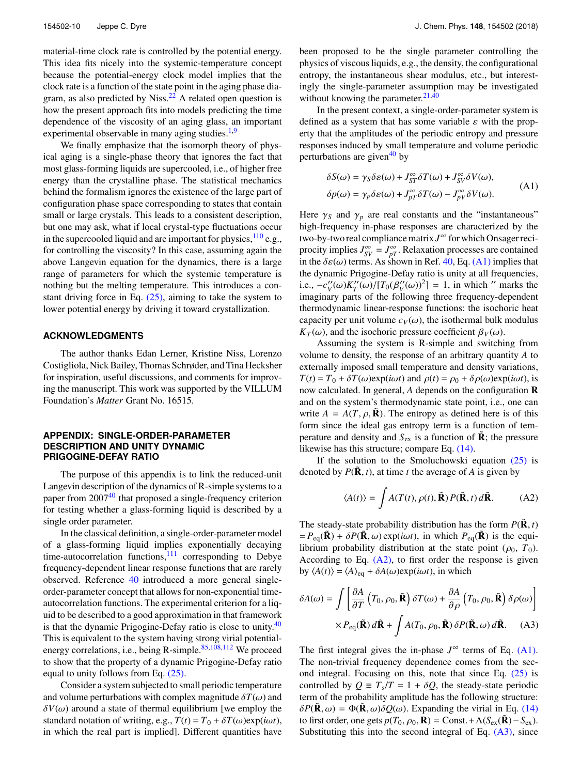material-time clock rate is controlled by the potential energy. This idea fits nicely into the systemic-temperature concept because the potential-energy clock model implies that the clock rate is a function of the state point in the aging phase diagram, as also predicted by Niss. $^{22}$  $^{22}$  $^{22}$  A related open question is how the present approach fits into models predicting the time dependence of the viscosity of an aging glass, an important experimental observable in many aging studies.<sup>[1,](#page-10-0)[9](#page-10-1)</sup>

We finally emphasize that the isomorph theory of physical aging is a single-phase theory that ignores the fact that most glass-forming liquids are supercooled, i.e., of higher free energy than the crystalline phase. The statistical mechanics behind the formalism ignores the existence of the large part of configuration phase space corresponding to states that contain small or large crystals. This leads to a consistent description, but one may ask, what if local crystal-type fluctuations occur in the supercooled liquid and are important for physics,  $\frac{110}{10}$  $\frac{110}{10}$  $\frac{110}{10}$  e.g., for controlling the viscosity? In this case, assuming again the above Langevin equation for the dynamics, there is a large range of parameters for which the systemic temperature is nothing but the melting temperature. This introduces a constant driving force in Eq.  $(25)$ , aiming to take the system to lower potential energy by driving it toward crystallization.

#### **ACKNOWLEDGMENTS**

The author thanks Edan Lerner, Kristine Niss, Lorenzo Costigliola, Nick Bailey, Thomas Schrøder, and Tina Hecksher for inspiration, useful discussions, and comments for improving the manuscript. This work was supported by the VILLUM Foundation's *Matter* Grant No. 16515.

#### <span id="page-9-0"></span>**APPENDIX: SINGLE-ORDER-PARAMETER DESCRIPTION AND UNITY DYNAMIC PRIGOGINE-DEFAY RATIO**

The purpose of this appendix is to link the reduced-unit Langevin description of the dynamics of R-simple systems to a paper from 2007<sup>[40](#page-10-11)</sup> that proposed a single-frequency criterion for testing whether a glass-forming liquid is described by a single order parameter.

In the classical definition, a single-order-parameter model of a glass-forming liquid implies exponentially decaying time-autocorrelation functions, $111$  corresponding to Debye frequency-dependent linear response functions that are rarely observed. Reference [40](#page-10-11) introduced a more general singleorder-parameter concept that allows for non-exponential timeautocorrelation functions. The experimental criterion for a liquid to be described to a good approximation in that framework is that the dynamic Prigogine-Defay ratio is close to unity. $40$ This is equivalent to the system having strong virial potential-energy correlations, i.e., being R-simple.<sup>[85,](#page-11-25)[108,](#page-12-1)[112](#page-12-5)</sup> We proceed to show that the property of a dynamic Prigogine-Defay ratio equal to unity follows from Eq. [\(25\).](#page-3-9)

Consider a system subjected to small periodic temperature and volume perturbations with complex magnitude  $\delta T(\omega)$  and  $\delta V(\omega)$  around a state of thermal equilibrium [we employ the standard notation of writing, e.g.,  $T(t) = T_0 + \delta T(\omega) \exp(i\omega t)$ , in which the real part is implied]. Different quantities have been proposed to be the single parameter controlling the physics of viscous liquids, e.g., the density, the configurational entropy, the instantaneous shear modulus, etc., but interestingly the single-parameter assumption may be investigated without knowing the parameter.  $2^{1,40}$  $2^{1,40}$  $2^{1,40}$ 

In the present context, a single-order-parameter system is defined as a system that has some variable  $\varepsilon$  with the property that the amplitudes of the periodic entropy and pressure responses induced by small temperature and volume periodic perturbations are given<sup>[40](#page-10-11)</sup> by

<span id="page-9-1"></span>
$$
\delta S(\omega) = \gamma_S \delta \varepsilon(\omega) + J_{ST}^{\infty} \delta T(\omega) + J_{SV}^{\infty} \delta V(\omega),
$$
  
\n
$$
\delta p(\omega) = \gamma_p \delta \varepsilon(\omega) + J_{pT}^{\infty} \delta T(\omega) - J_{pV}^{\infty} \delta V(\omega).
$$
\n(A1)

Here  $\gamma_s$  and  $\gamma_p$  are real constants and the "instantaneous" high-frequency in-phase responses are characterized by the two-by-two real compliance matrix *J* <sup>∞</sup> for which Onsager reciprocity implies  $J_{SV}^{\infty} = J_{pT}^{\infty}$ . Relaxation processes are contained in the  $\delta \varepsilon(\omega)$  terms. As shown in Ref. [40,](#page-10-11) Eq. [\(A1\)](#page-9-1) implies that the dynamic Prigogine-Defay ratio is unity at all frequencies, i.e.,  $-c_V''(\omega)K_I''(\omega)/[T_0(\beta_V''(\omega))^2] = 1$ , in which  $''$  marks the imaginary parts of the following three frequency-dependent imaginary parts of the following three frequency-dependent thermodynamic linear-response functions: the isochoric heat capacity per unit volume  $c_V(\omega)$ , the isothermal bulk modulus  $K_T(\omega)$ , and the isochoric pressure coefficient  $\beta_V(\omega)$ .

Assuming the system is R-simple and switching from volume to density, the response of an arbitrary quantity *A* to externally imposed small temperature and density variations,  $T(t) = T_0 + \delta T(\omega) \exp(i\omega t)$  and  $\rho(t) = \rho_0 + \delta \rho(\omega) \exp(i\omega t)$ , is now calculated. In general, *A* depends on the configuration **R** and on the system's thermodynamic state point, i.e., one can write  $A = A(T, \rho, \mathbf{\tilde{R}})$ . The entropy as defined here is of this form since the ideal gas entropy term is a function of temperature and density and  $S_{\text{ex}}$  is a function of  $\tilde{\mathbf{R}}$ ; the pressure likewise has this structure; compare Eq. [\(14\).](#page-2-5)

If the solution to the Smoluchowski equation  $(25)$  is denoted by  $P(\mathbf{R}, t)$ , at time *t* the average of *A* is given by

<span id="page-9-3"></span><span id="page-9-2"></span>
$$
\langle A(t) \rangle = \int A(T(t), \rho(t), \tilde{\mathbf{R}}) P(\tilde{\mathbf{R}}, t) d\tilde{\mathbf{R}}.
$$
 (A2)

The steady-state probability distribution has the form  $P(\mathbf{R}, t)$  $= P_{eq}(\mathbf{R}) + \delta P(\mathbf{R}, \omega) \exp(i\omega t)$ , in which  $P_{eq}(\mathbf{\tilde{R}})$  is the equilibrium probability distribution at the state point  $(\rho_0, T_0)$ . According to Eq.  $(A2)$ , to first order the response is given by  $\langle A(t) \rangle = \langle A \rangle_{\text{eq}} + \delta A(\omega) \exp(i\omega t)$ , in which

$$
\delta A(\omega) = \int \left[ \frac{\partial A}{\partial T} \left( T_0, \rho_0, \tilde{\mathbf{R}} \right) \delta T(\omega) + \frac{\partial A}{\partial \rho} \left( T_0, \rho_0, \tilde{\mathbf{R}} \right) \delta \rho(\omega) \right] \times P_{\text{eq}}(\tilde{\mathbf{R}}) d\tilde{\mathbf{R}} + \int A(T_0, \rho_0, \tilde{\mathbf{R}}) \delta P(\tilde{\mathbf{R}}, \omega) d\tilde{\mathbf{R}}.
$$
 (A3)

The first integral gives the in-phase  $J^{\infty}$  terms of Eq. [\(A1\).](#page-9-1) The non-trivial frequency dependence comes from the second integral. Focusing on this, note that since Eq. [\(25\)](#page-3-9) is controlled by  $Q \equiv T_s/T = 1 + \delta Q$ , the steady-state periodic<br>term of the probability amplitude has the following structure: term of the probability amplitude has the following structure:  $\delta P(\tilde{\mathbf{R}}, \omega) = \Phi(\tilde{\mathbf{R}}, \omega) \delta Q(\omega)$ . Expanding the virial in Eq. [\(14\)](#page-2-5) to first order, one gets  $p(T_0, \rho_0, \mathbf{R}) = \text{Const.} + \Lambda(S_{\text{ex}}(\tilde{\mathbf{R}}) - S_{\text{ex}}).$ Substituting this into the second integral of Eq. [\(A3\),](#page-9-3) since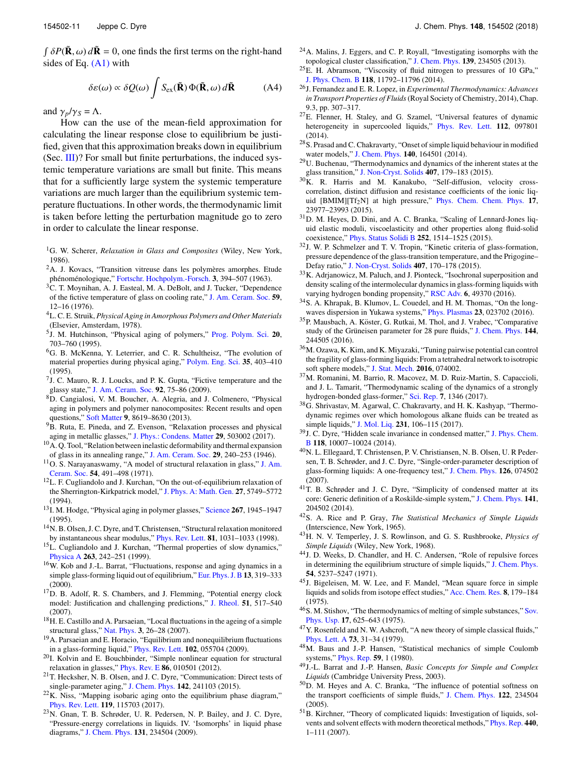$\int \delta P(\mathbf{R}, \omega) d\mathbf{R} = 0$ , one finds the first terms on the right-hand sides of Eq. [\(A1\)](#page-9-1) with

$$
\delta \varepsilon(\omega) \propto \delta Q(\omega) \int S_{\text{ex}}(\tilde{\mathbf{R}}) \Phi(\tilde{\mathbf{R}}, \omega) d\tilde{\mathbf{R}} \tag{A4}
$$

and  $\gamma_p/\gamma_s = \Lambda$ .

How can the use of the mean-field approximation for calculating the linear response close to equilibrium be justified, given that this approximation breaks down in equilibrium (Sec. [III\)](#page-2-0)? For small but finite perturbations, the induced systemic temperature variations are small but finite. This means that for a sufficiently large system the systemic temperature variations are much larger than the equilibrium systemic temperature fluctuations. In other words, the thermodynamic limit is taken before letting the perturbation magnitude go to zero in order to calculate the linear response.

- <span id="page-10-0"></span><sup>1</sup>G. W. Scherer, *Relaxation in Glass and Composites* (Wiley, New York, 1986).
- $2A$ . J. Kovacs, "Transition vitreuse dans les polymères amorphes. Etude phénoménologique," [Fortschr. Hochpolym.-Forsch.](https://doi.org/10.1007/bf02189445) 3, 394–507 (1963).
- <span id="page-10-2"></span><sup>3</sup>C. T. Moynihan, A. J. Easteal, M. A. DeBolt, and J. Tucker, "Dependence of the fictive temperature of glass on cooling rate," [J. Am. Ceram. Soc.](https://doi.org/10.1111/j.1151-2916.1976.tb09376.x) **59**, 12–16 (1976).
- <sup>4</sup>L. C. E. Struik, *Physical Aging in Amorphous Polymers and Other Materials* (Elsevier, Amsterdam, 1978).
- 5 J. M. Hutchinson, "Physical aging of polymers," [Prog. Polym. Sci.](https://doi.org/10.1016/0079-6700(94)00001-i) **20**, 703–760 (1995).
- <sup>6</sup>G. B. McKenna, Y. Leterrier, and C. R. Schultheisz, "The evolution of material properties during physical aging," [Polym. Eng. Sci.](https://doi.org/10.1002/pen.760350505) **35**, 403–410 (1995).
- <span id="page-10-3"></span><sup>7</sup>J. C. Mauro, R. J. Loucks, and P. K. Gupta, "Fictive temperature and the glassy state," [J. Am. Ceram. Soc.](https://doi.org/10.1111/j.1551-2916.2008.02851.x) **92**, 75–86 (2009).
- <sup>8</sup>D. Cangialosi, V. M. Boucher, A. Alegria, and J. Colmenero, "Physical aging in polymers and polymer nanocomposites: Recent results and open questions," [Soft Matter](https://doi.org/10.1039/c3sm51077h) **9**, 8619–8630 (2013).
- <span id="page-10-1"></span><sup>9</sup>B. Ruta, E. Pineda, and Z. Evenson, "Relaxation processes and physical aging in metallic glasses," [J. Phys.: Condens. Matter](https://doi.org/10.1088/1361-648x/aa9964) **29**, 503002 (2017).
- <span id="page-10-4"></span><sup>10</sup>A. Q. Tool, "Relation between inelastic deformability and thermal expansion of glass in its annealing range," [J. Am. Ceram. Soc.](https://doi.org/10.1111/j.1151-2916.1946.tb11592.x) **29**, 240–253 (1946).
- <span id="page-10-15"></span><sup>11</sup>O. S. Narayanaswamy, "A model of structural relaxation in glass," [J. Am.](https://doi.org/10.1111/j.1151-2916.1971.tb12186.x) [Ceram. Soc.](https://doi.org/10.1111/j.1151-2916.1971.tb12186.x) **54**, 491–498 (1971).
- $12$ L. F. Cugliandolo and J. Kurchan, "On the out-of-equilibrium relaxation of the Sherrington-Kirkpatrick model," [J. Phys. A: Math. Gen.](https://doi.org/10.1088/0305-4470/27/17/011) **27**, 5749–5772 (1994).
- <sup>13</sup>I. M. Hodge, "Physical aging in polymer glasses," [Science](https://doi.org/10.1126/science.267.5206.1945) **267**, 1945–1947 (1995).
- <sup>14</sup>N. B. Olsen, J. C. Dyre, and T. Christensen, "Structural relaxation monitored by instantaneous shear modulus," [Phys. Rev. Lett.](https://doi.org/10.1103/physrevlett.81.1031) **81**, 1031–1033 (1998).
- <sup>15</sup>L. Cugliandolo and J. Kurchan, "Thermal properties of slow dynamics," [Physica A](https://doi.org/10.1016/s0378-4371(98)00512-3) **263**, 242–251 (1999).
- <sup>16</sup>W. Kob and J.-L. Barrat, "Fluctuations, response and aging dynamics in a simple glass-forming liquid out of equilibrium," [Eur. Phys. J. B](https://doi.org/10.1007/s100510050038) **13**, 319–333 (2000).
- <span id="page-10-16"></span><sup>17</sup>D. B. Adolf, R. S. Chambers, and J. Flemming, "Potential energy clock model: Justification and challenging predictions," [J. Rheol.](https://doi.org/10.1122/1.2716442) **51**, 517–540 (2007).
- <sup>18</sup>H. E. Castillo and A. Parsaeian, "Local fluctuations in the ageing of a simple structural glass," [Nat. Phys.](https://doi.org/10.1038/nphys482) **3**, 26–28 (2007).
- <sup>19</sup>A. Parsaeian and E. Horacio, "Equilibrium and nonequilibrium fluctuations in a glass-forming liquid," [Phys. Rev. Lett.](https://doi.org/10.1103/physrevlett.102.055704) **102**, 055704 (2009).
- <sup>20</sup>I. Kolvin and E. Bouchbinder, "Simple nonlinear equation for structural relaxation in glasses," [Phys. Rev. E](https://doi.org/10.1103/physreve.86.010501) **86**, 010501 (2012).
- <span id="page-10-5"></span><sup>21</sup>T. Hecksher, N. B. Olsen, and J. C. Dyre, "Communication: Direct tests of single-parameter aging," [J. Chem. Phys.](https://doi.org/10.1063/1.4923000) **142**, 241103 (2015).
- <span id="page-10-6"></span> $22$ K. Niss, "Mapping isobaric aging onto the equilibrium phase diagram," [Phys. Rev. Lett.](https://doi.org/10.1103/physrevlett.119.115703) **119**, 115703 (2017).
- <span id="page-10-7"></span><sup>23</sup>N. Gnan, T. B. Schrøder, U. R. Pedersen, N. P. Bailey, and J. C. Dyre, "Pressure-energy correlations in liquids. IV. 'Isomorphs' in liquid phase diagrams," [J. Chem. Phys.](https://doi.org/10.1063/1.3265957) **131**, 234504 (2009).
- <span id="page-10-8"></span> $24$ A. Malins, J. Eggers, and C. P. Royall, "Investigating isomorphs with the topological cluster classification," [J. Chem. Phys.](https://doi.org/10.1063/1.4830416) **139**, 234505 (2013).
- ${}^{25}E$ . H. Abramson, "Viscosity of fluid nitrogen to pressures of 10 GPa," [J. Phys. Chem. B](https://doi.org/10.1021/jp5079696) **118**, 11792–11796 (2014).
- <sup>26</sup>J. Fernandez and E. R. Lopez, in *Experimental Thermodynamics: Advances in Transport Properties of Fluids*(Royal Society of Chemistry, 2014), Chap. 9.3, pp. 307–317.
- <sup>27</sup>E. Flenner, H. Staley, and G. Szamel, "Universal features of dynamic heterogeneity in supercooled liquids," [Phys. Rev. Lett.](https://doi.org/10.1103/physrevlett.112.097801) **112**, 097801 (2014).
- <sup>28</sup>S. Prasad and C. Chakravarty, "Onset of simple liquid behaviour in modified water models," [J. Chem. Phys.](https://doi.org/10.1063/1.4870823) **140**, 164501 (2014).
- <sup>29</sup>U. Buchenau, "Thermodynamics and dynamics of the inherent states at the glass transition," [J. Non-Cryst. Solids](https://doi.org/10.1016/j.jnoncrysol.2014.08.025) **407**, 179–183 (2015).
- <sup>30</sup>K. R. Harris and M. Kanakubo, "Self-diffusion, velocity crosscorrelation, distinct diffusion and resistance coefficients of the ionic liquid [BMIM][Tf2N] at high pressure," [Phys. Chem. Chem. Phys.](https://doi.org/10.1039/c5cp04277a) **17**, 23977–23993 (2015).
- <sup>31</sup>D. M. Heyes, D. Dini, and A. C. Branka, "Scaling of Lennard-Jones liquid elastic moduli, viscoelasticity and other properties along fluid-solid coexistence," [Phys. Status Solidi B](https://doi.org/10.1002/pssb.201451695) **252**, 1514–1525 (2015).
- <sup>32</sup>J. W. P. Schmelzer and T. V. Tropin, "Kinetic criteria of glass-formation, pressure dependence of the glass-transition temperature, and the Prigogine– Defay ratio," [J. Non-Cryst. Solids](https://doi.org/10.1016/j.jnoncrysol.2014.07.049) **407**, 170–178 (2015).
- <span id="page-10-14"></span><sup>33</sup>K. Adrjanowicz, M. Paluch, and J. Pionteck, "Isochronal superposition and density scaling of the intermolecular dynamics in glass-forming liquids with varying hydrogen bonding propensity," [RSC Adv.](https://doi.org/10.1039/c6ra08406k) **6**, 49370 (2016).
- <sup>34</sup>S. A. Khrapak, B. Klumov, L. Couedel, and H. M. Thomas, "On the longwaves dispersion in Yukawa systems," [Phys. Plasmas](https://doi.org/10.1063/1.4942169) **23**, 023702 (2016).
- <sup>35</sup>P. Mausbach, A. Köster, G. Rutkai, M. Thol, and J. Vrabec, "Comparative study of the Grüneisen parameter for 28 pure fluids," [J. Chem. Phys.](https://doi.org/10.1063/1.4954282) 144, 244505 (2016).
- <sup>36</sup>M. Ozawa, K. Kim, and K. Miyazaki, "Tuning pairwise potential can control the fragility of glass-forming liquids: From a tetrahedral network to isotropic soft sphere models," [J. Stat. Mech.](https://doi.org/10.1088/1742-5468/2016/07/074002) **2016**, 074002.
- <sup>37</sup>M. Romanini, M. Barrio, R. Macovez, M. D. Ruiz-Martin, S. Capaccioli, and J. L. Tamarit, "Thermodynamic scaling of the dynamics of a strongly hydrogen-bonded glass-former," [Sci. Rep.](https://doi.org/10.1038/s41598-017-01464-2) **7**, 1346 (2017).
- <span id="page-10-9"></span><sup>38</sup>G. Shrivastav, M. Agarwal, C. Chakravarty, and H. K. Kashyap, "Thermodynamic regimes over which homologous alkane fluids can be treated as simple liquids," [J. Mol. Liq.](https://doi.org/10.1016/j.molliq.2017.01.085) **231**, 106–115 (2017).
- <span id="page-10-10"></span><sup>39</sup>J. C. Dyre, "Hidden scale invariance in condensed matter," [J. Phys. Chem.](https://doi.org/10.1021/jp501852b) [B](https://doi.org/10.1021/jp501852b) **118**, 10007–10024 (2014).
- <span id="page-10-11"></span><sup>40</sup>N. L. Ellegaard, T. Christensen, P. V. Christiansen, N. B. Olsen, U. R Pedersen, T. B. Schrøder, and J. C. Dyre, "Single-order-parameter description of glass-forming liquids: A one-frequency test," [J. Chem. Phys.](https://doi.org/10.1063/1.2434963) **126**, 074502 (2007).
- <span id="page-10-12"></span><sup>41</sup>T. B. Schrøder and J. C. Dyre, "Simplicity of condensed matter at its core: Generic definition of a Roskilde-simple system," [J. Chem. Phys.](https://doi.org/10.1063/1.4901215) **141**, 204502 (2014).
- <span id="page-10-13"></span><sup>42</sup>S. A. Rice and P. Gray, *The Statistical Mechanics of Simple Liquids* (Interscience, New York, 1965).
- <sup>43</sup>H. N. V. Temperley, J. S. Rowlinson, and G. S. Rushbrooke, *Physics of Simple Liquids* (Wiley, New York, 1968).
- <sup>44</sup>J. D. Weeks, D. Chandler, and H. C. Andersen, "Role of repulsive forces in determining the equilibrium structure of simple liquids," [J. Chem. Phys.](https://doi.org/10.1063/1.1674820) **54**, 5237–5247 (1971).
- <sup>45</sup>J. Bigeleisen, M. W. Lee, and F. Mandel, "Mean square force in simple liquids and solids from isotope effect studies," [Acc. Chem. Res.](https://doi.org/10.1021/ar50089a006) **8**, 179–184 (1975).
- <sup>46</sup>S. M. Stishov, "The thermodynamics of melting of simple substances," [Sov.](https://doi.org/10.1070/pu1975v017n05abeh004361) [Phys. Usp.](https://doi.org/10.1070/pu1975v017n05abeh004361) **17**, 625–643 (1975).
- <sup>47</sup>Y. Rosenfeld and N. W. Ashcroft, "A new theory of simple classical fluids," [Phys. Lett. A](https://doi.org/10.1016/0375-9601(79)90741-2) **73**, 31–34 (1979).
- <sup>48</sup>M. Baus and J.-P. Hansen, "Statistical mechanics of simple Coulomb systems," [Phys. Rep.](https://doi.org/10.1016/0370-1573(80)90022-8) **59**, 1 (1980).
- <sup>49</sup>J.-L. Barrat and J.-P. Hansen, *Basic Concepts for Simple and Complex Liquids* (Cambridge University Press, 2003).
- <sup>50</sup>D. M. Heyes and A. C. Branka, "The influence of potential softness on the transport coefficients of simple fluids," [J. Chem. Phys.](https://doi.org/10.1063/1.1931668) **122**, 234504 (2005).
- <sup>51</sup>B. Kirchner, "Theory of complicated liquids: Investigation of liquids, solvents and solvent effects with modern theoretical methods," [Phys. Rep.](https://doi.org/10.1016/j.physrep.2006.11.005) **440**, 1–111 (2007).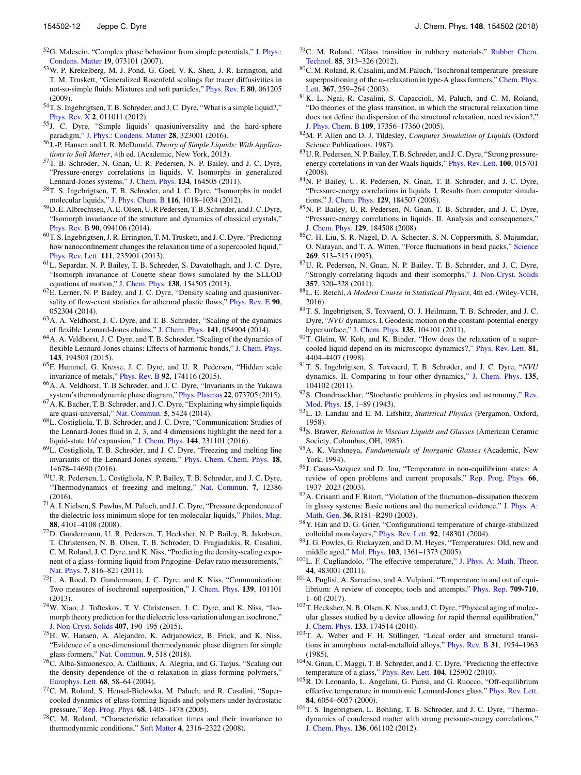- <sup>52</sup>G. Malescio, "Complex phase behaviour from simple potentials," [J. Phys.:](https://doi.org/10.1088/0953-8984/19/7/073101) [Condens. Matter](https://doi.org/10.1088/0953-8984/19/7/073101) **19**, 073101 (2007).
- <sup>53</sup>W. P. Krekelberg, M. J. Pond, G. Goel, V. K. Shen, J. R. Errington, and T. M. Truskett, "Generalized Rosenfeld scalings for tracer diffusivities in not-so-simple fluids: Mixtures and soft particles," [Phys. Rev. E](https://doi.org/10.1103/physreve.80.061205) **80**, 061205 (2009).
- <span id="page-11-28"></span><sup>54</sup>T. S. Ingebrigtsen, T. B. Schrøder, and J. C. Dyre, "What is a simple liquid?," [Phys. Rev. X](https://doi.org/10.1103/physrevx.2.011011) **2**, 011011 (2012).
- <span id="page-11-0"></span><sup>55</sup>J. C. Dyre, "Simple liquids' quasiuniversality and the hard-sphere paradigm," [J. Phys.: Condens. Matter](https://doi.org/10.1088/0953-8984/28/32/323001) **28**, 323001 (2016).
- <span id="page-11-1"></span><sup>56</sup>J.-P. Hansen and I. R. McDonald, *Theory of Simple Liquids: With Applications to Soft Matter*, 4th ed. (Academic, New York, 2013).
- <span id="page-11-2"></span><sup>57</sup>T. B. Schrøder, N. Gnan, U. R. Pedersen, N. P. Bailey, and J. C. Dyre, "Pressure-energy correlations in liquids. V. Isomorphs in generalized Lennard-Jones systems," [J. Chem. Phys.](https://doi.org/10.1063/1.3582900) **134**, 164505 (2011).
- <span id="page-11-3"></span><sup>58</sup>T. S. Ingebrigtsen, T. B. Schrøder, and J. C. Dyre, "Isomorphs in model molecular liquids," [J. Phys. Chem. B](https://doi.org/10.1021/jp2077402) **116**, 1018–1034 (2012).
- <span id="page-11-4"></span><sup>59</sup>D. E. Albrechtsen, A. E. Olsen, U. R Pedersen, T. B. Schrøder, and J. C. Dyre, "Isomorph invariance of the structure and dynamics of classical crystals," [Phys. Rev. B](https://doi.org/10.1103/physrevb.90.094106) **90**, 094106 (2014).
- <span id="page-11-5"></span><sup>60</sup>T. S. Ingebrigtsen, J. R. Errington, T. M. Truskett, and J. C. Dyre, "Predicting how nanoconfinement changes the relaxation time of a supercooled liquid," [Phys. Rev. Lett.](https://doi.org/10.1103/physrevlett.111.235901) **111**, 235901 (2013).
- <span id="page-11-6"></span><sup>61</sup>L. Separdar, N. P. Bailey, T. B. Schrøder, S. Davatolhagh, and J. C. Dyre, "Isomorph invariance of Couette shear flows simulated by the SLLOD equations of motion," [J. Chem. Phys.](https://doi.org/10.1063/1.4799273) **138**, 154505 (2013).
- <span id="page-11-7"></span><sup>62</sup>E. Lerner, N. P. Bailey, and J. C. Dyre, "Density scaling and quasiuniversality of flow-event statistics for athermal plastic flows," [Phys. Rev. E](https://doi.org/10.1103/physreve.90.052304) **90**, 052304 (2014).
- <span id="page-11-8"></span><sup>63</sup>A. A. Veldhorst, J. C. Dyre, and T. B. Schrøder, "Scaling of the dynamics of flexible Lennard-Jones chains," [J. Chem. Phys.](https://doi.org/10.1063/1.4888564) **141**, 054904 (2014).
- <span id="page-11-9"></span><sup>64</sup>A. A. Veldhorst, J. C. Dyre, and T. B. Schrøder, "Scaling of the dynamics of flexible Lennard-Jones chains: Effects of harmonic bonds," [J. Chem. Phys.](https://doi.org/10.1063/1.4934973) **143**, 194503 (2015).
- <span id="page-11-10"></span><sup>65</sup>F. Hummel, G. Kresse, J. C. Dyre, and U. R. Pedersen, "Hidden scale invariance of metals," [Phys. Rev. B](https://doi.org/10.1103/physrevb.92.174116) **92**, 174116 (2015).
- <span id="page-11-11"></span><sup>66</sup>A. A. Veldhorst, T. B Schrøder, and J. C. Dyre, "Invariants in the Yukawa system's thermodynamic phase diagram," [Phys. Plasmas](https://doi.org/10.1063/1.4926822) **22**, 073705 (2015).
- <span id="page-11-12"></span><sup>67</sup>A. K. Bacher, T. B. Schrøder, and J. C. Dyre, "Explaining why simple liquids are quasi-universal," [Nat. Commun.](https://doi.org/10.1038/ncomms6424) **5**, 5424 (2014).
- <span id="page-11-13"></span><sup>68</sup>L. Costigliola, T. B. Schrøder, and J. C. Dyre, "Communication: Studies of the Lennard-Jones fluid in 2, 3, and 4 dimensions highlight the need for a liquid-state 1/*d* expansion," [J. Chem. Phys.](https://doi.org/10.1063/1.4954239) **144**, 231101 (2016).
- <span id="page-11-14"></span><sup>69</sup>L. Costigliola, T. B. Schrøder, and J. C. Dyre, "Freezing and melting line invariants of the Lennard-Jones system," [Phys. Chem. Chem. Phys.](https://doi.org/10.1039/c5cp06363a) **18**, 14678–14690 (2016).
- <span id="page-11-15"></span><sup>70</sup>U. R. Pedersen, L. Costigliola, N. P. Bailey, T. B. Schrøder, and J. C. Dyre, "Thermodynamics of freezing and melting," [Nat. Commun.](https://doi.org/10.1038/ncomms12386) **7**, 12386 (2016).
- <span id="page-11-16"></span><sup>71</sup>A. I. Nielsen, S. Pawlus, M. Paluch, and J. C. Dyre, "Pressure dependence of the dielectric loss minimum slope for ten molecular liquids," [Philos. Mag.](https://doi.org/10.1080/14786430802607093) **88**, 4101–4108 (2008).
- <sup>72</sup>D. Gundermann, U. R. Pedersen, T. Hecksher, N. P. Bailey, B. Jakobsen, T. Christensen, N. B. Olsen, T. B. Schrøder, D. Fragiadakis, R. Casalini, C. M. Roland, J. C. Dyre, and K. Niss, "Predicting the density-scaling exponent of a glass–forming liquid from Prigogine–Defay ratio measurements," [Nat. Phys.](https://doi.org/10.1038/nphys2031) **7**, 816–821 (2011).
- <sup>73</sup>L. A. Roed, D. Gundermann, J. C. Dyre, and K. Niss, "Communication: Two measures of isochronal superposition," [J. Chem. Phys.](https://doi.org/10.1063/1.4821163) **139**, 101101 (2013).
- <span id="page-11-20"></span><sup>74</sup>W. Xiao, J. Tofteskov, T. V. Christensen, J. C. Dyre, and K. Niss, "Isomorph theory prediction for the dielectric loss variation along an isochrone," [J. Non-Cryst. Solids](https://doi.org/10.1016/j.jnoncrysol.2014.08.041) **407**, 190–195 (2015).
- <span id="page-11-17"></span><sup>75</sup>H. W. Hansen, A. Alejandro, K. Adrjanowicz, B. Frick, and K. Niss, "Evidence of a one-dimensional thermodynamic phase diagram for simple glass-formers," [Nat. Commun.](https://doi.org/10.1038/s41467-017-02324-3) **9**, 518 (2018).
- <span id="page-11-18"></span><sup>76</sup>C. Alba-Simionesco, A. Cailliaux, A. Alegria, and G. Tarjus, "Scaling out the density dependence of the  $\alpha$  relaxation in glass-forming polymers," [Europhys. Lett.](https://doi.org/10.1209/epl/i2004-10214-6) **68**, 58–64 (2004).
- <sup>77</sup>C. M. Roland, S. Hensel-Bielowka, M. Paluch, and R. Casalini, "Supercooled dynamics of glass-forming liquids and polymers under hydrostatic pressure," [Rep. Prog. Phys.](https://doi.org/10.1088/0034-4885/68/6/r03) **68**, 1405–1478 (2005).
- $78^{\circ}$ C. M. Roland, "Characteristic relaxation times and their invariance to thermodynamic conditions," [Soft Matter](https://doi.org/10.1039/b804794d) **4**, 2316–2322 (2008).
- <span id="page-11-19"></span> $79^{\circ}$ C. M. Roland, "Glass transition in rubbery materials," [Rubber Chem.](https://doi.org/10.5254/rct.12.87987) [Technol.](https://doi.org/10.5254/rct.12.87987) **85**, 313–326 (2012).
- <span id="page-11-21"></span><sup>80</sup>C.M. Roland, R. Casalini, and M. Paluch, "Isochronal temperature–pressure superpositioning of the  $\alpha$ –relaxation in type-A glass formers," [Chem. Phys.](https://doi.org/10.1016/s0009-2614(02)01655-x) [Lett.](https://doi.org/10.1016/s0009-2614(02)01655-x) **367**, 259–264 (2003).
- <span id="page-11-22"></span><sup>81</sup>K. L. Ngai, R. Casalini, S. Capaccioli, M. Paluch, and C. M. Roland, "Do theories of the glass transition, in which the structural relaxation time does not define the dispersion of the structural relaxation, need revision?," [J. Phys. Chem. B](https://doi.org/10.1021/jp053439s) **109**, 17356–17360 (2005).
- <span id="page-11-23"></span><sup>82</sup>M. P. Allen and D. J. Tildesley, *Computer Simulation of Liquids* (Oxford Science Publications, 1987).
- <span id="page-11-24"></span><sup>83</sup>U. R. Pedersen, N. P. Bailey, T. B. Schrøder, and J. C. Dyre, "Strong pressureenergy correlations in van der Waals liquids," [Phys. Rev. Lett.](https://doi.org/10.1103/physrevlett.100.015701) **100**, 015701 (2008).
- <span id="page-11-26"></span><sup>84</sup>N. P. Bailey, U. R. Pedersen, N. Gnan, T. B. Schrøder, and J. C. Dyre, "Pressure-energy correlations in liquids. I. Results from computer simulations," [J. Chem. Phys.](https://doi.org/10.1063/1.2982247) **129**, 184507 (2008).
- <span id="page-11-25"></span><sup>85</sup>N. P. Bailey, U. R. Pedersen, N. Gnan, T. B. Schrøder, and J. C. Dyre, "Pressure-energy correlations in liquids. II. Analysis and consequences," [J. Chem. Phys.](https://doi.org/10.1063/1.2982249) **129**, 184508 (2008).
- <span id="page-11-27"></span><sup>86</sup>C.-H. Liu, S. R. Nagel, D. A. Schecter, S. N. Coppersmith, S. Majumdar, O. Narayan, and T. A. Witten, "Force fluctuations in bead packs," [Science](https://doi.org/10.1126/science.269.5223.513) **269**, 513–515 (1995).
- <span id="page-11-29"></span><sup>87</sup>U. R. Pedersen, N. Gnan, N. P. Bailey, T. B. Schrøder, and J. C. Dyre, "Strongly correlating liquids and their isomorphs," [J. Non-Cryst. Solids](https://doi.org/10.1016/j.jnoncrysol.2010.06.063) **357**, 320–328 (2011).
- <span id="page-11-30"></span><sup>88</sup>L. E. Reichl, *A Modern Course in Statistical Physics*, 4th ed. (Wiley-VCH, 2016).
- <span id="page-11-31"></span><sup>89</sup>T. S. Ingebrigtsen, S. Toxvaerd, O. J. Heilmann, T. B. Schrøder, and J. C. Dyre, "*NVU* dynamics. I. Geodesic motion on the constant-potential-energy hypersurface," [J. Chem. Phys.](https://doi.org/10.1063/1.3623585) **135**, 104101 (2011).
- <span id="page-11-32"></span><sup>90</sup>T. Gleim, W. Kob, and K. Binder, "How does the relaxation of a supercooled liquid depend on its microscopic dynamics?," [Phys. Rev. Lett.](https://doi.org/10.1103/physrevlett.81.4404) **81**, 4404–4407 (1998).
- <span id="page-11-33"></span><sup>91</sup>T. S. Ingebrigtsen, S. Toxvaerd, T. B. Schrøder, and J. C. Dyre, "*NVU* dynamics. II. Comparing to four other dynamics," [J. Chem. Phys.](https://doi.org/10.1063/1.3623586) **135**, 104102 (2011).
- <span id="page-11-34"></span><sup>92</sup>S. Chandrasekhar, "Stochastic problems in physics and astronomy," [Rev.](https://doi.org/10.1103/revmodphys.15.1) [Mod. Phys.](https://doi.org/10.1103/revmodphys.15.1) **15**, 1–89 (1943).
- <span id="page-11-35"></span><sup>93</sup>L. D. Landau and E. M. Lifshitz, *Statistical Physics* (Pergamon, Oxford, 1958).
- <span id="page-11-36"></span><sup>94</sup>S. Brawer, *Relaxation in Viscous Liquids and Glasses* (American Ceramic Society, Columbus, OH, 1985).
- <span id="page-11-37"></span><sup>95</sup>A. K. Varshneya, *Fundamentals of Inorganic Glasses* (Academic, New York, 1994).
- <span id="page-11-38"></span><sup>96</sup>J. Casas-Vazquez and D. Jou, "Temperature in non-equilibrium states: A review of open problems and current proposals," [Rep. Prog. Phys.](https://doi.org/10.1088/0034-4885/66/11/r03) **66**, 1937–2023 (2003).
- <span id="page-11-40"></span> $97$ A. Crisanti and F. Ritort, "Violation of the fluctuation-dissipation theorem in glassy systems: Basic notions and the numerical evidence," [J. Phys. A:](https://doi.org/10.1088/0305-4470/36/21/201) [Math. Gen.](https://doi.org/10.1088/0305-4470/36/21/201) **36**, R181–R290 (2003).
- <sup>98</sup>Y. Han and D. G. Grier, "Configurational temperature of charge-stabilized colloidal monolayers," [Phys. Rev. Lett.](https://doi.org/10.1103/physrevlett.92.148301) **92**, 148301 (2004).
- <span id="page-11-41"></span><sup>99</sup>J. G. Powles, G. Rickayzen, and D. M. Heyes, "Temperatures: Old, new and middle aged," [Mol. Phys.](https://doi.org/10.1080/00268970500054664) **103**, 1361–1373 (2005).
- <sup>100</sup>L. F. Cugliandolo, "The effective temperature," [J. Phys. A: Math. Theor.](https://doi.org/10.1088/1751-8113/44/48/483001) **44**, 483001 (2011).
- <span id="page-11-39"></span><sup>101</sup>A. Puglisi, A. Sarracino, and A. Vulpiani, "Temperature in and out of equilibrium: A review of concepts, tools and attempts," [Phys. Rep.](https://doi.org/10.1016/j.physrep.2017.09.001) **709-710**, 1–60 (2017).
- <span id="page-11-42"></span><sup>102</sup>T. Hecksher, N. B. Olsen, K. Niss, and J. C. Dyre, "Physical aging of molecular glasses studied by a device allowing for rapid thermal equilibration," [J. Chem. Phys.](https://doi.org/10.1063/1.3487646) **133**, 174514 (2010).
- <span id="page-11-43"></span><sup>103</sup>T. A. Weber and F. H. Stillinger, "Local order and structural transitions in amorphous metal-metalloid alloys," [Phys. Rev. B](https://doi.org/10.1103/physrevb.31.1954) **31**, 1954–1963 (1985).
- <span id="page-11-44"></span><sup>104</sup>N. Gnan, C. Maggi, T. B. Schrøder, and J. C. Dyre, "Predicting the effective temperature of a glass," [Phys. Rev. Lett.](https://doi.org/10.1103/physrevlett.104.125902) **104**, 125902 (2010).
- <span id="page-11-45"></span><sup>105</sup>R. Di Leonardo, L. Angelani, G. Parisi, and G. Ruocco, "Off-equilibrium effective temperature in monatomic Lennard-Jones glass," [Phys. Rev. Lett.](https://doi.org/10.1103/physrevlett.84.6054) **84**, 6054–6057 (2000).
- <span id="page-11-46"></span><sup>106</sup>T. S. Ingebrigtsen, L. Bøhling, T. B. Schrøder, and J. C. Dyre, "Thermodynamics of condensed matter with strong pressure-energy correlations," [J. Chem. Phys.](https://doi.org/10.1063/1.3685804) **136**, 061102 (2012).